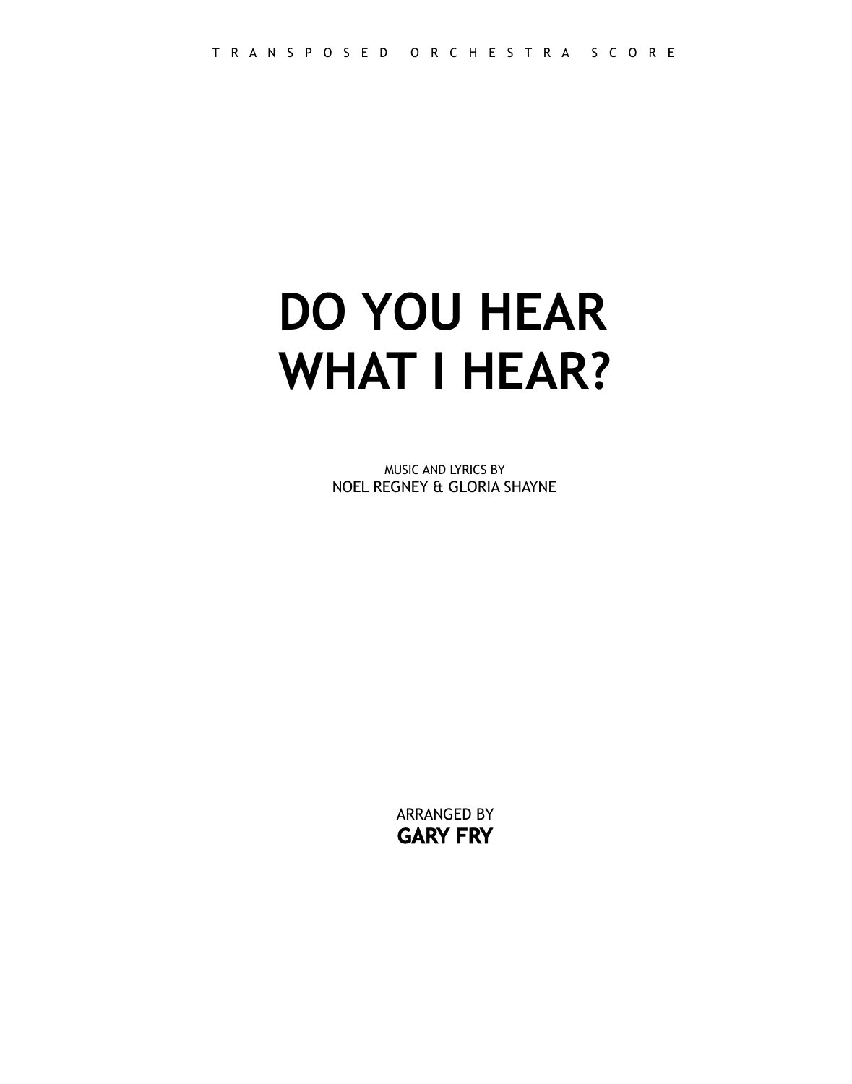# **DO YOU HEAR WHAT I HEAR?**

MUSIC AND LYRICS BY NOEL REGNEY & GLORIA SHAYNE

> ARRANGED BY **GARY FRY**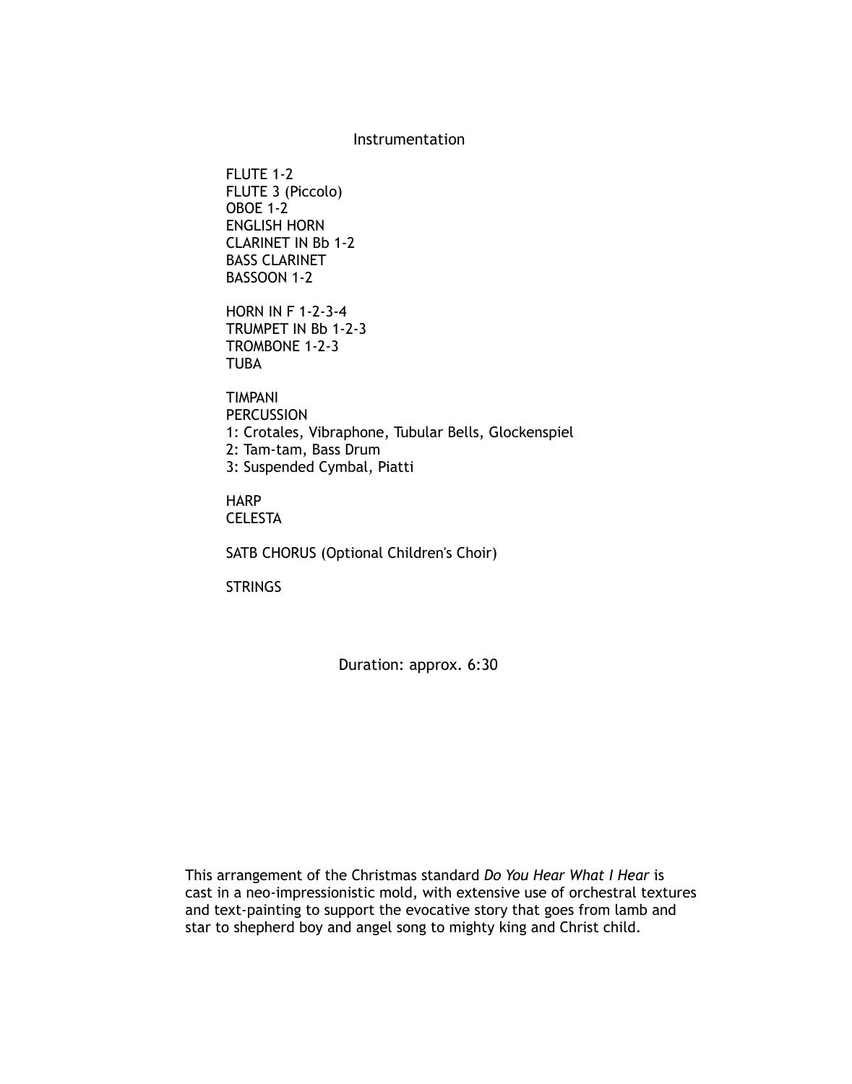# Instrumentation

FLUTE 1-2 FLUTE 3 (Piccolo) OBOE 1-2 ENGLISH HORN CLARINET IN Bb 1-2 BASS CLARINET BASSOON 1-2

HORN IN F 1-2-3-4 TRUMPET IN Bb 1-2-3 TROMBONE 1-2-3 TUBA

TIMPANI **PERCUSSION** 1: Crotales, Vibraphone, Tubular Bells, Glockenspiel 2: Tam-tam, Bass Drum 3: Suspended Cymbal, Piatti

**HARP CELESTA** 

SATB CHORUS (Optional Children's Choir)

**STRINGS** 

Duration: approx. 6:30

This arrangement of the Christmas standard *Do You Hear What I Hear* is cast in a neo-impressionistic mold, with extensive use of orchestral textures and text-painting to support the evocative story that goes from lamb and star to shepherd boy and angel song to mighty king and Christ child.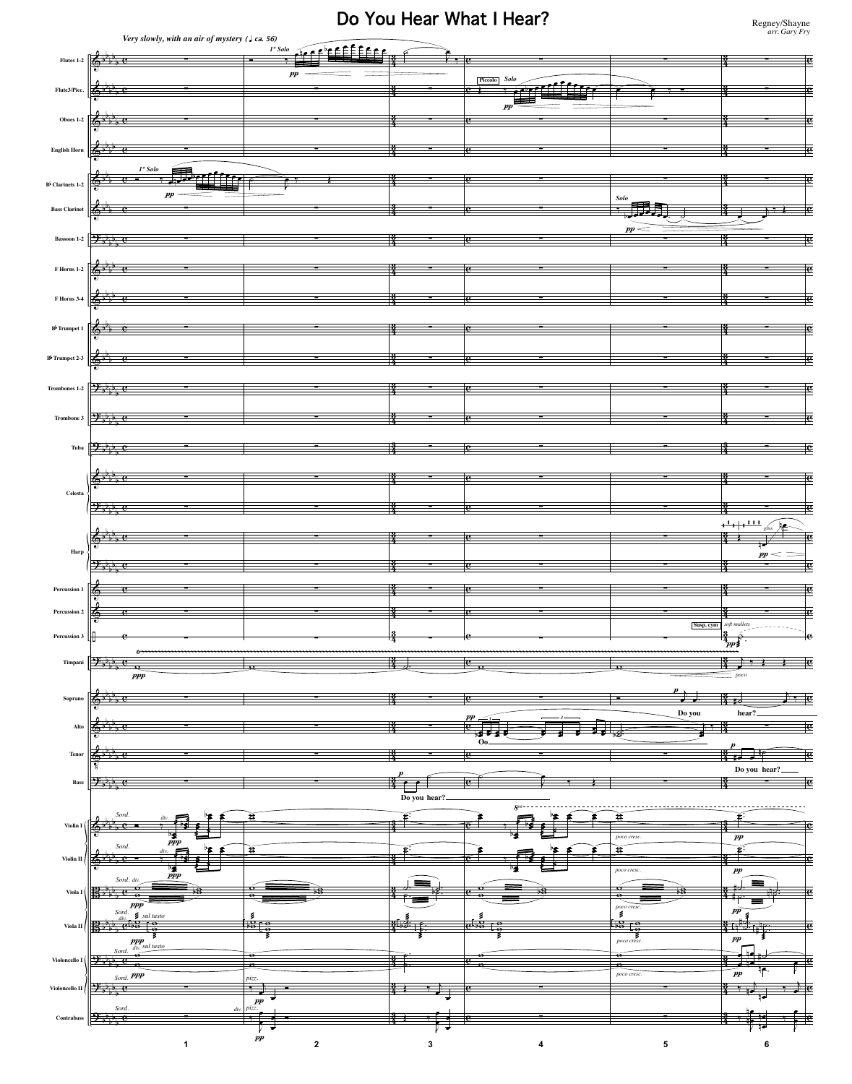# Do You Hear What I Hear?

Regney/Shayne

|                                        | Very slowly, with an air of mystery (J ca. 56)                                                                                 |                                                   |               |                                                                                                                                                                                                                                                                                                                                                                                                                      |                                          | arr. Gary Fry                           |
|----------------------------------------|--------------------------------------------------------------------------------------------------------------------------------|---------------------------------------------------|---------------|----------------------------------------------------------------------------------------------------------------------------------------------------------------------------------------------------------------------------------------------------------------------------------------------------------------------------------------------------------------------------------------------------------------------|------------------------------------------|-----------------------------------------|
| Flutes 1-2                             |                                                                                                                                | $1^\circ$ Solo                                    |               |                                                                                                                                                                                                                                                                                                                                                                                                                      |                                          | 挃                                       |
|                                        |                                                                                                                                | pp                                                |               |                                                                                                                                                                                                                                                                                                                                                                                                                      |                                          |                                         |
| Flute3/Picc.                           |                                                                                                                                |                                                   |               | $\frac{\text{Piccolo}}{\text{2}}$ <i>Solo</i><br>$\overline{P}$<br>$\overline{e}$                                                                                                                                                                                                                                                                                                                                    |                                          | $\mathbf{e}$                            |
|                                        |                                                                                                                                |                                                   |               | $\boldsymbol{pp}$                                                                                                                                                                                                                                                                                                                                                                                                    |                                          |                                         |
| Oboes $1-2$                            |                                                                                                                                |                                                   |               | $\overline{P}$                                                                                                                                                                                                                                                                                                                                                                                                       |                                          | C                                       |
|                                        |                                                                                                                                |                                                   |               |                                                                                                                                                                                                                                                                                                                                                                                                                      |                                          |                                         |
| <b>English Horn</b>                    |                                                                                                                                |                                                   |               |                                                                                                                                                                                                                                                                                                                                                                                                                      |                                          | $\overline{\textbf{e}}$                 |
|                                        | $I^{\circ} \mathit{Solo}$                                                                                                      |                                                   |               |                                                                                                                                                                                                                                                                                                                                                                                                                      |                                          |                                         |
| $\mathbb{B}^\flat$ Clarinets 1-2       |                                                                                                                                |                                                   |               |                                                                                                                                                                                                                                                                                                                                                                                                                      |                                          | $\overline{\mathbf{e}}$                 |
|                                        |                                                                                                                                |                                                   |               |                                                                                                                                                                                                                                                                                                                                                                                                                      | Solo                                     |                                         |
| <b>Bass Clarinet</b>                   |                                                                                                                                |                                                   |               |                                                                                                                                                                                                                                                                                                                                                                                                                      |                                          | $\overline{\mathbf{e}}$                 |
|                                        |                                                                                                                                |                                                   |               |                                                                                                                                                                                                                                                                                                                                                                                                                      | $p p \ll$                                |                                         |
| Bassoon 1-2                            |                                                                                                                                |                                                   |               | $\overline{\bullet}$                                                                                                                                                                                                                                                                                                                                                                                                 |                                          | $\overline{\textbf{e}}$                 |
|                                        |                                                                                                                                |                                                   |               |                                                                                                                                                                                                                                                                                                                                                                                                                      |                                          |                                         |
| F Horns 1-2                            |                                                                                                                                |                                                   |               |                                                                                                                                                                                                                                                                                                                                                                                                                      |                                          | $\overline{\mathbf{e}}$                 |
|                                        |                                                                                                                                |                                                   |               |                                                                                                                                                                                                                                                                                                                                                                                                                      |                                          |                                         |
| $F$ Horns 3-4                          |                                                                                                                                |                                                   |               |                                                                                                                                                                                                                                                                                                                                                                                                                      |                                          | $\overline{\mathbf{e}}$                 |
|                                        |                                                                                                                                |                                                   |               |                                                                                                                                                                                                                                                                                                                                                                                                                      |                                          |                                         |
| $\overline{\mathbf{B}}$ Trumpet 1      |                                                                                                                                |                                                   |               |                                                                                                                                                                                                                                                                                                                                                                                                                      |                                          | $\mathbf{e}$                            |
| $\mathbb{B}^{\not\models}$ Trumpet 2-3 |                                                                                                                                |                                                   |               | $\mathbf{r}$                                                                                                                                                                                                                                                                                                                                                                                                         |                                          | $\overline{\mathbf{e}}$                 |
|                                        | 尊                                                                                                                              |                                                   |               |                                                                                                                                                                                                                                                                                                                                                                                                                      |                                          |                                         |
| Trombones 1-2                          | $2+$                                                                                                                           |                                                   |               |                                                                                                                                                                                                                                                                                                                                                                                                                      |                                          | $\overline{\mathbf{e}}$                 |
|                                        |                                                                                                                                |                                                   |               |                                                                                                                                                                                                                                                                                                                                                                                                                      |                                          |                                         |
| Trombone 3                             |                                                                                                                                |                                                   |               |                                                                                                                                                                                                                                                                                                                                                                                                                      |                                          | ঢ                                       |
|                                        |                                                                                                                                |                                                   |               |                                                                                                                                                                                                                                                                                                                                                                                                                      |                                          |                                         |
| Tuba                                   | $\mathcal{F}_{\mathcal{F}}$                                                                                                    |                                                   |               |                                                                                                                                                                                                                                                                                                                                                                                                                      |                                          | $\overline{\mathbf{e}}$                 |
|                                        |                                                                                                                                |                                                   |               |                                                                                                                                                                                                                                                                                                                                                                                                                      |                                          |                                         |
|                                        |                                                                                                                                |                                                   |               |                                                                                                                                                                                                                                                                                                                                                                                                                      |                                          | $\overline{\mathbf{e}}$                 |
| $\operatorname{\bf Celesta}$           |                                                                                                                                |                                                   |               |                                                                                                                                                                                                                                                                                                                                                                                                                      |                                          |                                         |
|                                        | $2 + 1$                                                                                                                        |                                                   |               | $\overline{\mathbf{f}}$                                                                                                                                                                                                                                                                                                                                                                                              |                                          | €                                       |
|                                        |                                                                                                                                |                                                   |               |                                                                                                                                                                                                                                                                                                                                                                                                                      |                                          | $+1+\!+\!1-\!1$<br>戺<br>gliss.          |
|                                        |                                                                                                                                |                                                   |               |                                                                                                                                                                                                                                                                                                                                                                                                                      |                                          | E                                       |
| Harp                                   |                                                                                                                                |                                                   |               |                                                                                                                                                                                                                                                                                                                                                                                                                      |                                          | $pp<$ =                                 |
|                                        |                                                                                                                                |                                                   |               |                                                                                                                                                                                                                                                                                                                                                                                                                      |                                          | €                                       |
| <b>Percussion 1</b>                    |                                                                                                                                |                                                   |               |                                                                                                                                                                                                                                                                                                                                                                                                                      |                                          | $\mathbf{E}$                            |
|                                        | U                                                                                                                              |                                                   |               |                                                                                                                                                                                                                                                                                                                                                                                                                      |                                          |                                         |
| Percussion 2                           | e.                                                                                                                             |                                                   |               |                                                                                                                                                                                                                                                                                                                                                                                                                      |                                          | $\mathbf{f}$<br>Susp.cym soft mallets   |
| Percussion 3                           |                                                                                                                                |                                                   |               |                                                                                                                                                                                                                                                                                                                                                                                                                      |                                          |                                         |
|                                        | Hr                                                                                                                             |                                                   |               |                                                                                                                                                                                                                                                                                                                                                                                                                      |                                          | $4_{pp}$                                |
| Timpani                                |                                                                                                                                |                                                   |               |                                                                                                                                                                                                                                                                                                                                                                                                                      |                                          | $\overline{\mathbf{e}}$                 |
|                                        | $\boldsymbol{ppp}$                                                                                                             |                                                   |               |                                                                                                                                                                                                                                                                                                                                                                                                                      |                                          | $poco$                                  |
| $\label{eq:soprano} \textbf{Soprano}$  |                                                                                                                                |                                                   |               |                                                                                                                                                                                                                                                                                                                                                                                                                      | p                                        | $\pm \mathbf{e}$                        |
|                                        |                                                                                                                                |                                                   |               | $\bm{pp}$                                                                                                                                                                                                                                                                                                                                                                                                            | Do you                                   | hear?                                   |
| Alto                                   |                                                                                                                                |                                                   |               | $\mathbf{r}$                                                                                                                                                                                                                                                                                                                                                                                                         |                                          | $\mathbf{e}$                            |
|                                        | ٠                                                                                                                              |                                                   |               | Oo                                                                                                                                                                                                                                                                                                                                                                                                                   |                                          |                                         |
| <b>Tenor</b>                           |                                                                                                                                |                                                   |               |                                                                                                                                                                                                                                                                                                                                                                                                                      |                                          | c                                       |
| <b>Bass</b>                            |                                                                                                                                |                                                   |               |                                                                                                                                                                                                                                                                                                                                                                                                                      |                                          | Do you hear?<br>$\overline{\mathbf{e}}$ |
|                                        |                                                                                                                                |                                                   | Do you hear?. |                                                                                                                                                                                                                                                                                                                                                                                                                      |                                          |                                         |
|                                        | Sord.                                                                                                                          |                                                   |               | $8^{va- - -}$                                                                                                                                                                                                                                                                                                                                                                                                        |                                          |                                         |
| <b>Violin</b>                          | В                                                                                                                              | \$                                                | €.            | 素<br>-5                                                                                                                                                                                                                                                                                                                                                                                                              | 8                                        | €<br>€                                  |
|                                        | $\begin{array}{c}\n\overrightarrow{p} \\ \overrightarrow{p} \\ \overrightarrow{p} \\ \overrightarrow{p}\n\end{array}$<br>Sord. |                                                   |               |                                                                                                                                                                                                                                                                                                                                                                                                                      | poco cresc.                              | $\overline{pp}$                         |
| Violin $\Pi$                           | "≸1<br>Р                                                                                                                       | 8                                                 | \$.           |                                                                                                                                                                                                                                                                                                                                                                                                                      | 8                                        | €<br>色                                  |
|                                        | $\frac{p_{\frac{2}{3}}}{ppp}$                                                                                                  |                                                   |               |                                                                                                                                                                                                                                                                                                                                                                                                                      | poco cresc.                              | $\boldsymbol{pp}$                       |
| Viola I                                | Sord. div.                                                                                                                     |                                                   |               | 58                                                                                                                                                                                                                                                                                                                                                                                                                   | ਲੋ                                       | 玊                                       |
|                                        | ppp                                                                                                                            |                                                   |               |                                                                                                                                                                                                                                                                                                                                                                                                                      | $\overline{\bullet}$<br>poco cresc.      | ≡                                       |
|                                        | $\frac{\text{Sord}}{\text{div.}}$ sul tasto                                                                                    | $\frac{2}{10}$                                    | ź             | $rac{2}{\frac{1}{1+\frac{1}{1+\frac{1}{1+\frac{1}{1+\frac{1}{1+\frac{1}{1+\frac{1}{1+\frac{1}{1+\frac{1}{1+\frac{1}{1+\frac{1}{1+\frac{1}{1+\frac{1}{1+\frac{1}{1+\frac{1}{1+\frac{1}{1+\frac{1}{1+\frac{1}{1+\frac{1}{1+\frac{1}{1+\frac{1}{1+\frac{1}{1+\frac{1}{1+\frac{1}{1+\frac{1}{1+\frac{1}{1+\frac{1}{1+\frac{1}{1+\frac{1}{1+\frac{1}{1+\frac{1}{1+\frac{1}{1+\frac{1}{1+\frac{1}{1+\frac{1}{1+\frac{1}{1$ | $\sharp$                                 | pp                                      |
| Viola $\Pi$                            |                                                                                                                                |                                                   | ₩             | <del>r o</del>                                                                                                                                                                                                                                                                                                                                                                                                       | $\frac{12}{18}$<br>$p_{\rm 0000}$ cresc. | 3 fr<br>玊                               |
|                                        | $\frac{ppp}{div}$ sul tasto<br>Sord.                                                                                           |                                                   |               |                                                                                                                                                                                                                                                                                                                                                                                                                      |                                          | $\boldsymbol{pp}$                       |
| Violoncello I                          | $9 +$                                                                                                                          | $\bullet$<br>$\overline{\mathbf{r}}$              | $\frac{3}{4}$ |                                                                                                                                                                                                                                                                                                                                                                                                                      | $\overline{\mathbf{r}}$                  | $\overline{\mathbf{e}}$                 |
|                                        | $Sord$ . <b><i>PPP</i></b>                                                                                                     | pizz.                                             |               |                                                                                                                                                                                                                                                                                                                                                                                                                      | poco cresc.                              | $\mathbf{p}$                            |
|                                        | Violoncello II $\left(\frac{1}{\sqrt{2}}\right)^{1/2}$                                                                         | $\bullet$                                         | <u>*</u>      |                                                                                                                                                                                                                                                                                                                                                                                                                      |                                          | E<br>Ÿ<br>≖                             |
|                                        | Sord.                                                                                                                          | $\frac{np}{\text{div.}}$ $\frac{pp}{\text{pix.}}$ |               |                                                                                                                                                                                                                                                                                                                                                                                                                      |                                          |                                         |
| Contrabass                             | $\mathbf{P}_{\mathbf{p}}$ or                                                                                                   | $-$                                               |               |                                                                                                                                                                                                                                                                                                                                                                                                                      |                                          | $\frac{1}{16}$<br>$\pm$<br>"/ 1•        |
|                                        |                                                                                                                                | $\boldsymbol{p}$<br>$\mathbf 2$                   | 3             |                                                                                                                                                                                                                                                                                                                                                                                                                      | 5                                        | 6                                       |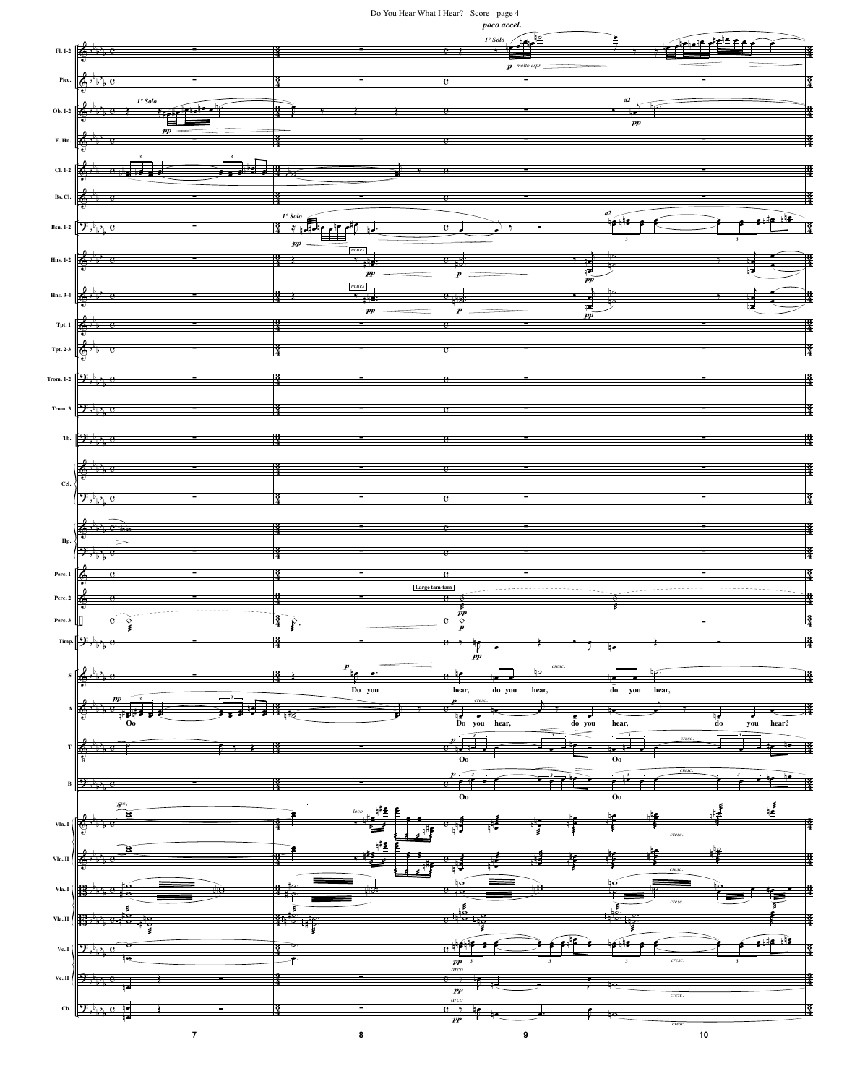|                                                   |                                                                                                 |                                                                                                 | $poco\; accel.$ -----                                    |                                              |
|---------------------------------------------------|-------------------------------------------------------------------------------------------------|-------------------------------------------------------------------------------------------------|----------------------------------------------------------|----------------------------------------------|
| FI. 1-2 $\frac{1}{2}$                             |                                                                                                 |                                                                                                 | $I^{\circ}Solo$<br>í••F                                  |                                              |
|                                                   |                                                                                                 |                                                                                                 | $\boldsymbol{p}$ molto espr.                             |                                              |
| Picc.                                             |                                                                                                 |                                                                                                 |                                                          |                                              |
| Ob. 1-2                                           | $\frac{1^{\circ}Solo}{\bullet}$                                                                 |                                                                                                 |                                                          | $\it{a2}$                                    |
|                                                   | pp                                                                                              |                                                                                                 |                                                          | $\overline{pp}$                              |
| E. Hn.                                            | e                                                                                               |                                                                                                 |                                                          |                                              |
| $CL.1-2$                                          | $\frac{3}{\frac{2}{5}}$ $\frac{3}{5}$ $\frac{3}{2}$ $\frac{3}{4}$ $\frac{1}{2}$                 |                                                                                                 |                                                          | $\frac{1}{2}$                                |
|                                                   |                                                                                                 |                                                                                                 |                                                          |                                              |
| $\mathbf{B}$ s. Cl.                               |                                                                                                 |                                                                                                 |                                                          |                                              |
| Bsn. 1-2 $\frac{1}{2}$                            |                                                                                                 | $\begin{array}{c}\n 1^{\circ} \text{Solo} \\  \hline\n 2^{\circ} \\  4^{\circ} \\  \end{array}$ |                                                          | a2                                           |
|                                                   |                                                                                                 | pp                                                                                              |                                                          |                                              |
|                                                   | Hns. 1-2 $\theta$ $\theta$ $\theta$ $\theta$                                                    | mutes                                                                                           |                                                          |                                              |
|                                                   |                                                                                                 | pp                                                                                              | $\frac{1}{p}$<br>$\boldsymbol{p}$                        |                                              |
| Hns. 3-4                                          |                                                                                                 | $\,$ mutes $\,$                                                                                 |                                                          |                                              |
|                                                   |                                                                                                 | $\boldsymbol{pp}$                                                                               | $\frac{1}{pp}$                                           |                                              |
| Tpt.1                                             |                                                                                                 |                                                                                                 |                                                          |                                              |
| $\frac{1}{2}$ Tpt. 2-3                            |                                                                                                 |                                                                                                 |                                                          |                                              |
|                                                   |                                                                                                 |                                                                                                 |                                                          |                                              |
| Trom. 1-2                                         | $9 + 1$                                                                                         |                                                                                                 |                                                          |                                              |
|                                                   | Trom. 3 $\frac{1}{\sqrt{2}} \frac{1}{\sqrt{2}} \frac{1}{\sqrt{2}} \frac{1}{\sqrt{2}}$           |                                                                                                 |                                                          |                                              |
|                                                   |                                                                                                 |                                                                                                 |                                                          |                                              |
|                                                   | ть. $\frac{\partial \cdot \phi}{\partial \theta}$ $\frac{\partial \cdot \phi}{\partial \theta}$ |                                                                                                 |                                                          |                                              |
|                                                   |                                                                                                 |                                                                                                 |                                                          |                                              |
| Cel.                                              |                                                                                                 |                                                                                                 |                                                          |                                              |
|                                                   | $\frac{1}{2}$                                                                                   | $\frac{13}{2}$                                                                                  | $+e$                                                     |                                              |
|                                                   |                                                                                                 |                                                                                                 |                                                          |                                              |
| Hp.                                               | ➢<br>€                                                                                          |                                                                                                 |                                                          |                                              |
|                                                   |                                                                                                 |                                                                                                 |                                                          |                                              |
| Perc. 1                                           |                                                                                                 |                                                                                                 | Large tam-tam                                            |                                              |
| $\ensuremath{\mathbf{Perc}\xspace}\xspace$ .<br>2 |                                                                                                 |                                                                                                 | $\frac{2}{pp}$                                           |                                              |
| Perc. 3                                           |                                                                                                 | $\mathbf{a}$<br>4<br>ŧ.                                                                         | $\boldsymbol{p}$                                         |                                              |
| Timp.                                             | $\cdot$ .                                                                                       |                                                                                                 | $\rightarrow$                                            |                                              |
|                                                   |                                                                                                 |                                                                                                 | $\boldsymbol{pp}$<br>cresc.                              |                                              |
| s                                                 |                                                                                                 | Do you                                                                                          | do you<br>hear,<br>hear,                                 | do<br>you<br>hear,                           |
|                                                   |                                                                                                 |                                                                                                 | cresc.<br>$\boldsymbol{r}$                               |                                              |
|                                                   | O <sub>o</sub>                                                                                  |                                                                                                 | $\overline{\mathbf{D}}\mathbf{o}$ you<br>hear,<br>do you | hear?<br>do<br>hear,<br>you                  |
| $\mathbf T$                                       |                                                                                                 |                                                                                                 |                                                          | -3<br>- 3 -<br>cresc                         |
|                                                   |                                                                                                 |                                                                                                 | Oo.                                                      | Oo.<br>cresc.                                |
| В                                                 | $\mathfrak{P}_{\mathbb{Z}^+}$                                                                   |                                                                                                 | $\boldsymbol{p}$ .<br>$^{-3}$<br>$\mathbf{r}$            |                                              |
|                                                   | $(8^{va})$                                                                                      |                                                                                                 | Oo.                                                      | O <sub>o</sub><br>歱                          |
| Vln. I                                            | 8                                                                                               | hH≦E.<br>loco                                                                                   |                                                          |                                              |
|                                                   | Ħ                                                                                               | h#£                                                                                             |                                                          | cresc.                                       |
| $Vln.$ II                                         |                                                                                                 |                                                                                                 |                                                          | cresc.                                       |
| Vla. I                                            |                                                                                                 |                                                                                                 |                                                          |                                              |
|                                                   |                                                                                                 |                                                                                                 | ‡≖<br>ء<br>ما                                            | cresc.                                       |
| Vla. II                                           |                                                                                                 |                                                                                                 | —ت∸                                                      |                                              |
| $v_{c.1}$ $\left \frac{1}{2}$                     | o                                                                                               | Q                                                                                               | ١e<br><del>ظالعلني</del>                                 |                                              |
|                                                   | Ιe                                                                                              | Θ                                                                                               | $\frac{pp}{\text{arco}}$ <sup>3</sup>                    | $\mathit{cresc}.$<br>$\overline{\mathbf{3}}$ |
|                                                   | $Vc. II$ $\left \frac{1}{2}$<br>-0<br>ए                                                         |                                                                                                 | Ť                                                        |                                              |
| Cb.                                               |                                                                                                 |                                                                                                 | $\frac{pp}{\frac{arco}{\sqrt{1-\frac{1}{2}}}}$           | $\mathit{cresc}.$                            |
|                                                   |                                                                                                 |                                                                                                 | $\overline{pp}$                                          | cresc.                                       |
|                                                   | $\overline{7}$                                                                                  | $\bf8$                                                                                          | 9                                                        | 10                                           |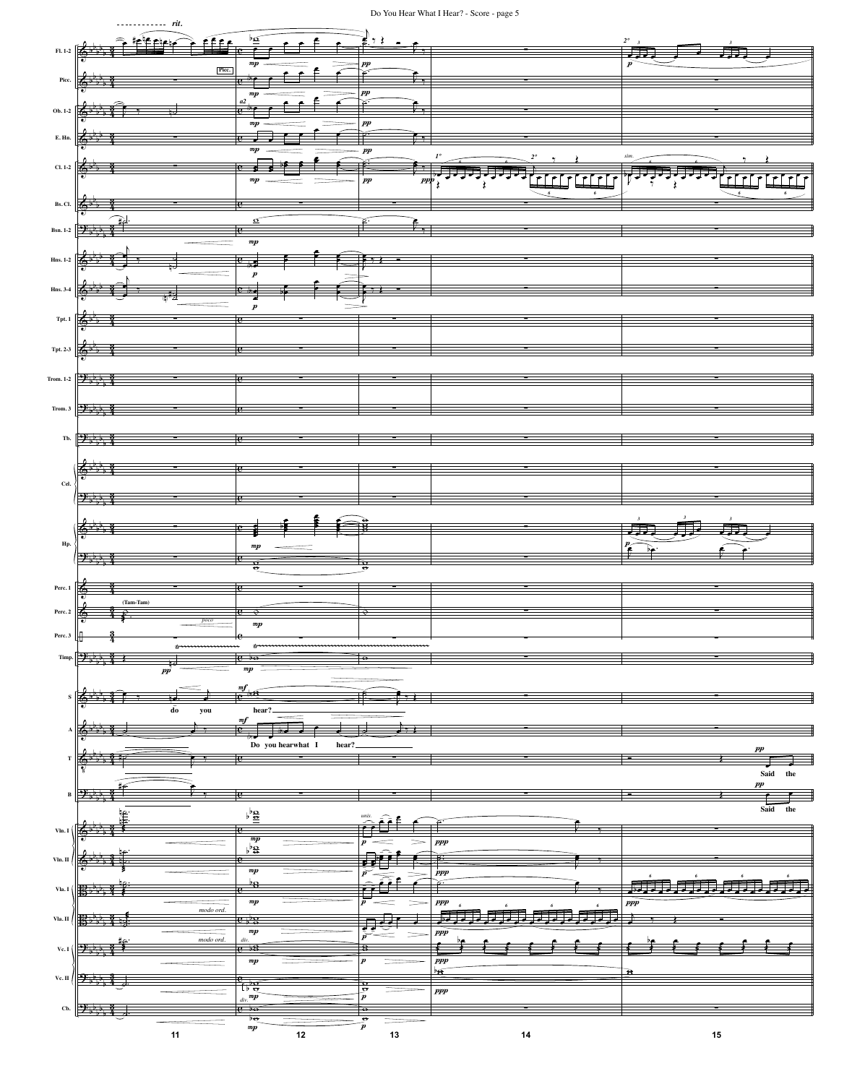Do You Hear What I Hear? - Score - page 5

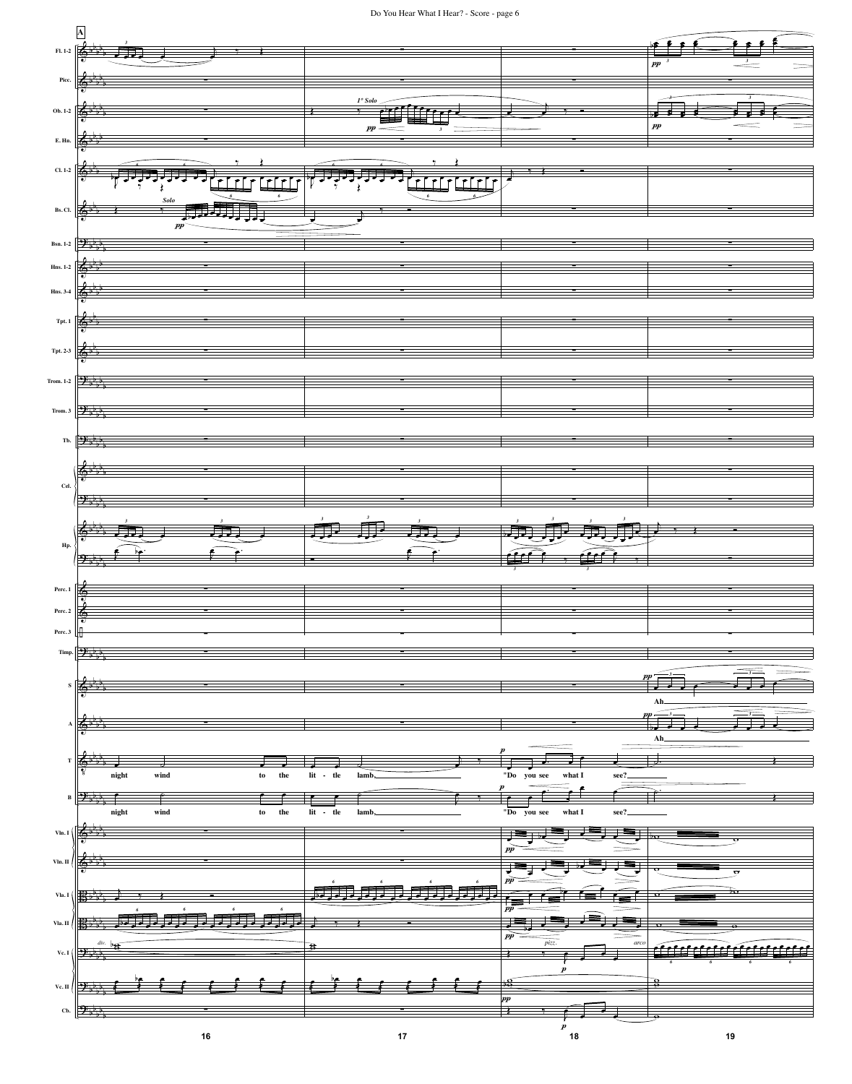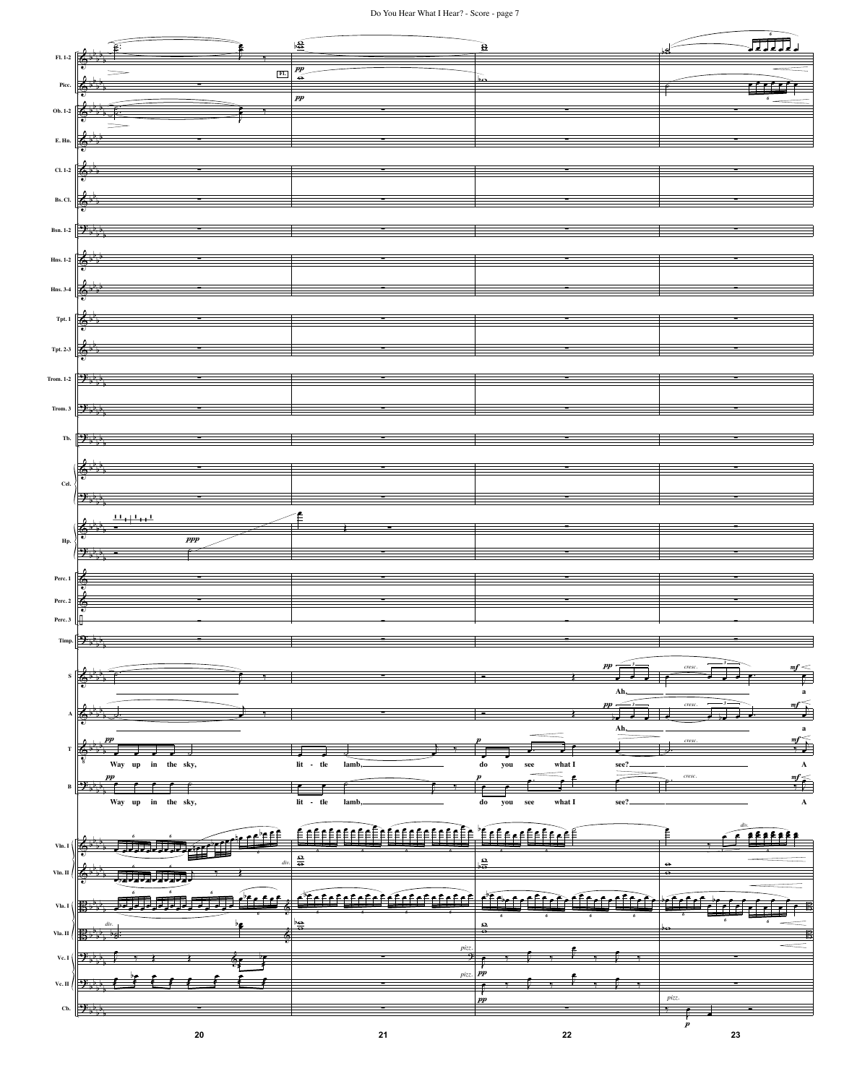| $F1.1-2$<br>Picc.<br>Ob. 1-2 $\theta$ b b $\theta$ is the contract of the contract of the contract of the contract of the contract of the contract of the contract of the contract of the contract of the contract of the contract of the contract of the<br>E. Hn. $\left[\begin{array}{ccc} \begin{array}{ccc} \end{array} & \begin{array}{ccc} \end{array} & \begin{array}{ccc} \end{array} & \begin{array}{ccc} \end{array} & \begin{array}{ccc} \end{array} & \begin{array}{ccc} \end{array} & \begin{array}{ccc} \end{array} & \begin{array}{ccc} \end{array} & \begin{array}{ccc} \end{array} & \begin{array}{ccc} \end{array} & \begin{array}{ccc} \end{array} & \begin{array}{ccc} \end{array} & \begin{array}{ccc} \end{array} & \begin{array}{ccc} \end{array} & \begin{array}{ccc} \end{array} & \begin{array}{ccc} \end$<br>$CL1-2$<br>Bs. Cl. $\frac{1}{2}$ $\frac{1}{2}$ $\frac{1}{2}$ $\frac{1}{2}$ $\frac{1}{2}$ $\frac{1}{2}$ $\frac{1}{2}$ $\frac{1}{2}$ $\frac{1}{2}$ $\frac{1}{2}$ $\frac{1}{2}$ $\frac{1}{2}$ $\frac{1}{2}$ $\frac{1}{2}$ $\frac{1}{2}$ $\frac{1}{2}$ $\frac{1}{2}$ $\frac{1}{2}$ $\frac{1}{2}$ $\frac{1}{2}$ $\frac{1}{2}$ $\frac$<br>Bsn. 1-2 $\frac{1}{\sqrt{\frac{1}{\sqrt{\frac{1}{\sqrt{\frac{1}{\sqrt{\frac{1}{\sqrt{\frac{1}{\sqrt{\frac{1}{\sqrt{\frac{1}{\sqrt{\frac{1}{\sqrt{\frac{1}{\sqrt{\frac{1}{\sqrt{\frac{1}{\sqrt{\frac{1}{\sqrt{\frac{1}{\sqrt{\frac{1}{\sqrt{\frac{1}{\sqrt{\frac{1}{\sqrt{\frac{1}{\sqrt{\frac{1}{\sqrt{\frac{1}{\sqrt{\frac{1}{\sqrt{\frac{1}{\sqrt{\frac{1}{\sqrt{\frac{1}{\sqrt{\frac{1}{\sqrt{\frac{1}{\sqrt{\sqrt{\frac{1}{1\sqrt{\frac{1}{\sqrt{\sqrt{\frac{1}{1\sqrt{\sqrt$ | $\boxed{\text{FL}}$ $\frac{pp}{\Theta}$<br>pp<br>$\epsilon$<br>$\ddot{\bullet}$ | $\blacksquare$       |                                    |           | <u>.</u> |
|----------------------------------------------------------------------------------------------------------------------------------------------------------------------------------------------------------------------------------------------------------------------------------------------------------------------------------------------------------------------------------------------------------------------------------------------------------------------------------------------------------------------------------------------------------------------------------------------------------------------------------------------------------------------------------------------------------------------------------------------------------------------------------------------------------------------------------------------------------------------------------------------------------------------------------------------------------------------------------------------------------------------------------------------------------------------------------------------------------------------------------------------------------------------------------------------------------------------------------------------------------------------------------------------------------------------------------------------------------------------------------------------------------------------------------------------------------------------------------------------------------------------------------------------------------------------------------------------------------------------------------------------------------------|---------------------------------------------------------------------------------|----------------------|------------------------------------|-----------|----------|
|                                                                                                                                                                                                                                                                                                                                                                                                                                                                                                                                                                                                                                                                                                                                                                                                                                                                                                                                                                                                                                                                                                                                                                                                                                                                                                                                                                                                                                                                                                                                                                                                                                                                |                                                                                 |                      |                                    |           |          |
|                                                                                                                                                                                                                                                                                                                                                                                                                                                                                                                                                                                                                                                                                                                                                                                                                                                                                                                                                                                                                                                                                                                                                                                                                                                                                                                                                                                                                                                                                                                                                                                                                                                                |                                                                                 |                      |                                    |           |          |
|                                                                                                                                                                                                                                                                                                                                                                                                                                                                                                                                                                                                                                                                                                                                                                                                                                                                                                                                                                                                                                                                                                                                                                                                                                                                                                                                                                                                                                                                                                                                                                                                                                                                |                                                                                 |                      |                                    |           |          |
|                                                                                                                                                                                                                                                                                                                                                                                                                                                                                                                                                                                                                                                                                                                                                                                                                                                                                                                                                                                                                                                                                                                                                                                                                                                                                                                                                                                                                                                                                                                                                                                                                                                                |                                                                                 |                      |                                    |           |          |
|                                                                                                                                                                                                                                                                                                                                                                                                                                                                                                                                                                                                                                                                                                                                                                                                                                                                                                                                                                                                                                                                                                                                                                                                                                                                                                                                                                                                                                                                                                                                                                                                                                                                |                                                                                 |                      |                                    |           |          |
|                                                                                                                                                                                                                                                                                                                                                                                                                                                                                                                                                                                                                                                                                                                                                                                                                                                                                                                                                                                                                                                                                                                                                                                                                                                                                                                                                                                                                                                                                                                                                                                                                                                                |                                                                                 |                      |                                    |           |          |
|                                                                                                                                                                                                                                                                                                                                                                                                                                                                                                                                                                                                                                                                                                                                                                                                                                                                                                                                                                                                                                                                                                                                                                                                                                                                                                                                                                                                                                                                                                                                                                                                                                                                |                                                                                 |                      |                                    |           |          |
|                                                                                                                                                                                                                                                                                                                                                                                                                                                                                                                                                                                                                                                                                                                                                                                                                                                                                                                                                                                                                                                                                                                                                                                                                                                                                                                                                                                                                                                                                                                                                                                                                                                                |                                                                                 |                      |                                    |           |          |
|                                                                                                                                                                                                                                                                                                                                                                                                                                                                                                                                                                                                                                                                                                                                                                                                                                                                                                                                                                                                                                                                                                                                                                                                                                                                                                                                                                                                                                                                                                                                                                                                                                                                |                                                                                 |                      |                                    |           |          |
| Hns. 1-2 $\frac{2}{\sqrt{2}} \frac{1}{2}$                                                                                                                                                                                                                                                                                                                                                                                                                                                                                                                                                                                                                                                                                                                                                                                                                                                                                                                                                                                                                                                                                                                                                                                                                                                                                                                                                                                                                                                                                                                                                                                                                      |                                                                                 |                      |                                    |           |          |
| Hns. 3-4 $\frac{2}{\sqrt{2}}$ $\frac{1}{2}$ $\frac{1}{2}$                                                                                                                                                                                                                                                                                                                                                                                                                                                                                                                                                                                                                                                                                                                                                                                                                                                                                                                                                                                                                                                                                                                                                                                                                                                                                                                                                                                                                                                                                                                                                                                                      |                                                                                 |                      |                                    |           |          |
|                                                                                                                                                                                                                                                                                                                                                                                                                                                                                                                                                                                                                                                                                                                                                                                                                                                                                                                                                                                                                                                                                                                                                                                                                                                                                                                                                                                                                                                                                                                                                                                                                                                                |                                                                                 |                      |                                    |           |          |
| $Tpt. 1$ $T_{\text{pt}}$ $T_{\text{pt}}$ $T_{\text{pt}}$ $T_{\text{pt}}$ $T_{\text{pt}}$ $T_{\text{pt}}$ $T_{\text{pt}}$ $T_{\text{pt}}$ $T_{\text{pt}}$ $T_{\text{pt}}$ $T_{\text{pt}}$ $T_{\text{pt}}$ $T_{\text{pt}}$ $T_{\text{pt}}$ $T_{\text{pt}}$ $T_{\text{pt}}$ $T_{\text{pt}}$ $T_{\text{pt}}$ $T_{\text{pt}}$ $T_{\text{pt}}$ $T_{\text{pt}}$ $T_{$                                                                                                                                                                                                                                                                                                                                                                                                                                                                                                                                                                                                                                                                                                                                                                                                                                                                                                                                                                                                                                                                                                                                                                                                                                                                                                 |                                                                                 |                      |                                    |           |          |
| $Tpt. 23 \nightharpoonup \nightharpoonup$                                                                                                                                                                                                                                                                                                                                                                                                                                                                                                                                                                                                                                                                                                                                                                                                                                                                                                                                                                                                                                                                                                                                                                                                                                                                                                                                                                                                                                                                                                                                                                                                                      |                                                                                 |                      |                                    |           |          |
| Trom. 1-2 $\frac{1}{\sqrt{2}}$                                                                                                                                                                                                                                                                                                                                                                                                                                                                                                                                                                                                                                                                                                                                                                                                                                                                                                                                                                                                                                                                                                                                                                                                                                                                                                                                                                                                                                                                                                                                                                                                                                 |                                                                                 |                      |                                    |           |          |
|                                                                                                                                                                                                                                                                                                                                                                                                                                                                                                                                                                                                                                                                                                                                                                                                                                                                                                                                                                                                                                                                                                                                                                                                                                                                                                                                                                                                                                                                                                                                                                                                                                                                |                                                                                 |                      |                                    |           |          |
| Trom. 3 $\frac{1}{\sqrt{2\frac{1}{p}}\frac{1}{p}}$                                                                                                                                                                                                                                                                                                                                                                                                                                                                                                                                                                                                                                                                                                                                                                                                                                                                                                                                                                                                                                                                                                                                                                                                                                                                                                                                                                                                                                                                                                                                                                                                             |                                                                                 |                      |                                    |           |          |
| ть. $\frac{1}{\sqrt{2}}$                                                                                                                                                                                                                                                                                                                                                                                                                                                                                                                                                                                                                                                                                                                                                                                                                                                                                                                                                                                                                                                                                                                                                                                                                                                                                                                                                                                                                                                                                                                                                                                                                                       |                                                                                 |                      |                                    |           |          |
|                                                                                                                                                                                                                                                                                                                                                                                                                                                                                                                                                                                                                                                                                                                                                                                                                                                                                                                                                                                                                                                                                                                                                                                                                                                                                                                                                                                                                                                                                                                                                                                                                                                                |                                                                                 |                      |                                    |           |          |
|                                                                                                                                                                                                                                                                                                                                                                                                                                                                                                                                                                                                                                                                                                                                                                                                                                                                                                                                                                                                                                                                                                                                                                                                                                                                                                                                                                                                                                                                                                                                                                                                                                                                |                                                                                 |                      |                                    |           |          |
| $\frac{1}{2}$                                                                                                                                                                                                                                                                                                                                                                                                                                                                                                                                                                                                                                                                                                                                                                                                                                                                                                                                                                                                                                                                                                                                                                                                                                                                                                                                                                                                                                                                                                                                                                                                                                                  |                                                                                 |                      |                                    |           |          |
| $\frac{11}{2} + \frac{1}{2} + \frac{1}{2}$                                                                                                                                                                                                                                                                                                                                                                                                                                                                                                                                                                                                                                                                                                                                                                                                                                                                                                                                                                                                                                                                                                                                                                                                                                                                                                                                                                                                                                                                                                                                                                                                                     |                                                                                 |                      |                                    |           |          |
| ppp                                                                                                                                                                                                                                                                                                                                                                                                                                                                                                                                                                                                                                                                                                                                                                                                                                                                                                                                                                                                                                                                                                                                                                                                                                                                                                                                                                                                                                                                                                                                                                                                                                                            |                                                                                 |                      |                                    |           |          |
|                                                                                                                                                                                                                                                                                                                                                                                                                                                                                                                                                                                                                                                                                                                                                                                                                                                                                                                                                                                                                                                                                                                                                                                                                                                                                                                                                                                                                                                                                                                                                                                                                                                                |                                                                                 |                      |                                    |           |          |
|                                                                                                                                                                                                                                                                                                                                                                                                                                                                                                                                                                                                                                                                                                                                                                                                                                                                                                                                                                                                                                                                                                                                                                                                                                                                                                                                                                                                                                                                                                                                                                                                                                                                |                                                                                 |                      |                                    |           |          |
|                                                                                                                                                                                                                                                                                                                                                                                                                                                                                                                                                                                                                                                                                                                                                                                                                                                                                                                                                                                                                                                                                                                                                                                                                                                                                                                                                                                                                                                                                                                                                                                                                                                                |                                                                                 |                      |                                    |           |          |
| Timp.                                                                                                                                                                                                                                                                                                                                                                                                                                                                                                                                                                                                                                                                                                                                                                                                                                                                                                                                                                                                                                                                                                                                                                                                                                                                                                                                                                                                                                                                                                                                                                                                                                                          |                                                                                 |                      |                                    |           |          |
|                                                                                                                                                                                                                                                                                                                                                                                                                                                                                                                                                                                                                                                                                                                                                                                                                                                                                                                                                                                                                                                                                                                                                                                                                                                                                                                                                                                                                                                                                                                                                                                                                                                                |                                                                                 |                      |                                    |           |          |
|                                                                                                                                                                                                                                                                                                                                                                                                                                                                                                                                                                                                                                                                                                                                                                                                                                                                                                                                                                                                                                                                                                                                                                                                                                                                                                                                                                                                                                                                                                                                                                                                                                                                |                                                                                 |                      |                                    | $\bm{pp}$ | cresc    |
|                                                                                                                                                                                                                                                                                                                                                                                                                                                                                                                                                                                                                                                                                                                                                                                                                                                                                                                                                                                                                                                                                                                                                                                                                                                                                                                                                                                                                                                                                                                                                                                                                                                                |                                                                                 |                      |                                    | Ah,       |          |
|                                                                                                                                                                                                                                                                                                                                                                                                                                                                                                                                                                                                                                                                                                                                                                                                                                                                                                                                                                                                                                                                                                                                                                                                                                                                                                                                                                                                                                                                                                                                                                                                                                                                |                                                                                 |                      |                                    |           |          |
| T                                                                                                                                                                                                                                                                                                                                                                                                                                                                                                                                                                                                                                                                                                                                                                                                                                                                                                                                                                                                                                                                                                                                                                                                                                                                                                                                                                                                                                                                                                                                                                                                                                                              |                                                                                 |                      |                                    | Ah,       | cresc    |
| in the sky,<br>Way up                                                                                                                                                                                                                                                                                                                                                                                                                                                                                                                                                                                                                                                                                                                                                                                                                                                                                                                                                                                                                                                                                                                                                                                                                                                                                                                                                                                                                                                                                                                                                                                                                                          | lit - tle<br>lamb,                                                              |                      | what ${\bf I}$<br>do<br>you<br>see | see?      |          |
|                                                                                                                                                                                                                                                                                                                                                                                                                                                                                                                                                                                                                                                                                                                                                                                                                                                                                                                                                                                                                                                                                                                                                                                                                                                                                                                                                                                                                                                                                                                                                                                                                                                                |                                                                                 |                      |                                    |           | cresc.   |
| Way up in the sky,                                                                                                                                                                                                                                                                                                                                                                                                                                                                                                                                                                                                                                                                                                                                                                                                                                                                                                                                                                                                                                                                                                                                                                                                                                                                                                                                                                                                                                                                                                                                                                                                                                             | lit - tle<br>lamb,                                                              |                      | what ${\bf I}$<br>do<br>you<br>see | see?      |          |
|                                                                                                                                                                                                                                                                                                                                                                                                                                                                                                                                                                                                                                                                                                                                                                                                                                                                                                                                                                                                                                                                                                                                                                                                                                                                                                                                                                                                                                                                                                                                                                                                                                                                |                                                                                 | ₽₽₽₽₽₽₽₽₽₽₽₽₽₽₽₽₽₽₽₽ | €∉€∉∍èÊ<br>Έ                       |           |          |
| ,,,,,,,,                                                                                                                                                                                                                                                                                                                                                                                                                                                                                                                                                                                                                                                                                                                                                                                                                                                                                                                                                                                                                                                                                                                                                                                                                                                                                                                                                                                                                                                                                                                                                                                                                                                       |                                                                                 |                      |                                    |           |          |
|                                                                                                                                                                                                                                                                                                                                                                                                                                                                                                                                                                                                                                                                                                                                                                                                                                                                                                                                                                                                                                                                                                                                                                                                                                                                                                                                                                                                                                                                                                                                                                                                                                                                | $\frac{\mathbf{o}}{\mathbf{e}}$                                                 |                      | $\boldsymbol{\Omega}$              |           |          |
|                                                                                                                                                                                                                                                                                                                                                                                                                                                                                                                                                                                                                                                                                                                                                                                                                                                                                                                                                                                                                                                                                                                                                                                                                                                                                                                                                                                                                                                                                                                                                                                                                                                                |                                                                                 |                      |                                    |           |          |
|                                                                                                                                                                                                                                                                                                                                                                                                                                                                                                                                                                                                                                                                                                                                                                                                                                                                                                                                                                                                                                                                                                                                                                                                                                                                                                                                                                                                                                                                                                                                                                                                                                                                |                                                                                 |                      |                                    |           |          |
|                                                                                                                                                                                                                                                                                                                                                                                                                                                                                                                                                                                                                                                                                                                                                                                                                                                                                                                                                                                                                                                                                                                                                                                                                                                                                                                                                                                                                                                                                                                                                                                                                                                                |                                                                                 |                      |                                    |           |          |
|                                                                                                                                                                                                                                                                                                                                                                                                                                                                                                                                                                                                                                                                                                                                                                                                                                                                                                                                                                                                                                                                                                                                                                                                                                                                                                                                                                                                                                                                                                                                                                                                                                                                | $\circ$                                                                         |                      | $\boldsymbol{\Omega}$              |           |          |
| $\mathbf{Vc.}$ I                                                                                                                                                                                                                                                                                                                                                                                                                                                                                                                                                                                                                                                                                                                                                                                                                                                                                                                                                                                                                                                                                                                                                                                                                                                                                                                                                                                                                                                                                                                                                                                                                                               |                                                                                 |                      | pizz.                              |           |          |
|                                                                                                                                                                                                                                                                                                                                                                                                                                                                                                                                                                                                                                                                                                                                                                                                                                                                                                                                                                                                                                                                                                                                                                                                                                                                                                                                                                                                                                                                                                                                                                                                                                                                |                                                                                 |                      | pp<br>pizz.                        |           |          |
| сь. $\mathbf{P}$                                                                                                                                                                                                                                                                                                                                                                                                                                                                                                                                                                                                                                                                                                                                                                                                                                                                                                                                                                                                                                                                                                                                                                                                                                                                                                                                                                                                                                                                                                                                                                                                                                               |                                                                                 |                      | pp                                 | pizz.     |          |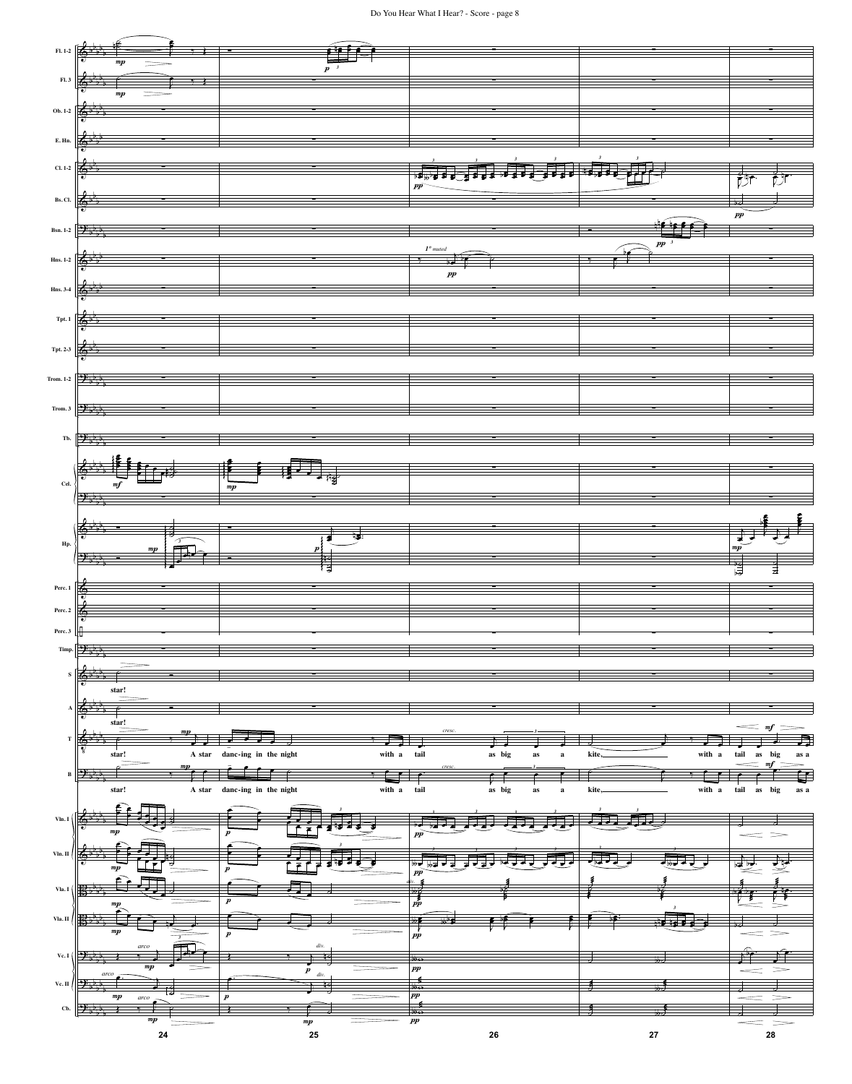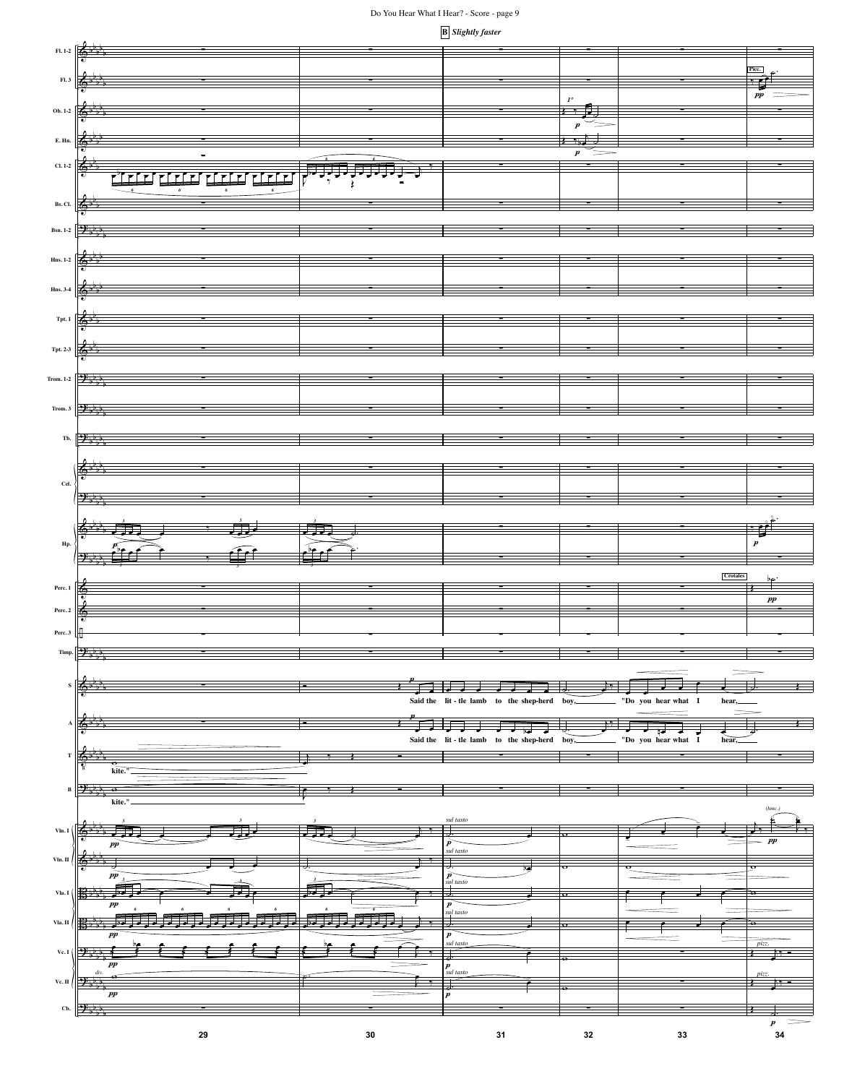# *Slightly faster*

|                        |                                                                                   |        | <b>B</b> Slightly faster      |                                                                           |                              |                        |
|------------------------|-----------------------------------------------------------------------------------|--------|-------------------------------|---------------------------------------------------------------------------|------------------------------|------------------------|
|                        | $F1.1-2$                                                                          |        |                               |                                                                           |                              |                        |
|                        |                                                                                   |        |                               |                                                                           |                              | Picc.                  |
|                        | F1.3                                                                              |        |                               |                                                                           |                              |                        |
|                        |                                                                                   |        |                               | $I^{\circ}$                                                               |                              | pp                     |
| Ob. 1-2                |                                                                                   |        |                               | 堯<br>$\boldsymbol{p}$                                                     |                              |                        |
|                        | E. Hn.                                                                            |        |                               |                                                                           |                              |                        |
|                        |                                                                                   |        |                               | $\frac{1}{p}$                                                             |                              |                        |
|                        | $C1.1-2$                                                                          |        |                               |                                                                           |                              |                        |
|                        |                                                                                   |        |                               |                                                                           |                              |                        |
|                        | Bs. Cl. $\frac{\frac{1}{\sqrt{1+\frac{1}{2}}}}{\frac{1}{\sqrt{1+\frac{1}{2}}}}$   |        |                               |                                                                           |                              |                        |
|                        |                                                                                   |        |                               |                                                                           |                              |                        |
|                        | Bsn. 1-2 $\frac{1}{\frac{1}{\sqrt{2}}\frac{1}{\sqrt{2}}\frac{1}{\sqrt{2}}}$       |        |                               |                                                                           |                              |                        |
|                        |                                                                                   |        |                               |                                                                           |                              |                        |
|                        | Hns. 1-2                                                                          |        |                               |                                                                           |                              |                        |
|                        |                                                                                   |        |                               |                                                                           |                              |                        |
|                        | Hns. 3-4                                                                          |        |                               |                                                                           |                              |                        |
|                        |                                                                                   |        |                               |                                                                           |                              |                        |
|                        |                                                                                   |        |                               |                                                                           |                              |                        |
|                        | Tpt. 2-3 $\theta$                                                                 |        |                               |                                                                           |                              |                        |
|                        |                                                                                   |        |                               |                                                                           |                              |                        |
|                        | Trom. 1-2 $\frac{1}{\sqrt{2}}$                                                    |        |                               |                                                                           |                              |                        |
|                        |                                                                                   |        |                               |                                                                           |                              |                        |
|                        | Trom. 3 $\frac{1}{\sqrt{1+\frac{1}{2}}\sqrt{1-\frac{1}{2}}\sqrt{1-\frac{1}{2}}}}$ |        |                               |                                                                           |                              |                        |
|                        |                                                                                   |        |                               |                                                                           |                              |                        |
|                        | ть. $\frac{1}{2}$                                                                 |        |                               |                                                                           |                              |                        |
|                        |                                                                                   |        |                               |                                                                           |                              |                        |
|                        |                                                                                   |        |                               |                                                                           |                              |                        |
| Cel.                   |                                                                                   |        |                               |                                                                           |                              |                        |
|                        | $2 +$                                                                             |        |                               |                                                                           |                              |                        |
|                        |                                                                                   |        |                               |                                                                           |                              |                        |
| Hp.                    |                                                                                   |        |                               |                                                                           |                              | $\boldsymbol{p}$       |
|                        |                                                                                   |        |                               |                                                                           |                              |                        |
|                        |                                                                                   |        |                               |                                                                           | <b>Crotales</b>              |                        |
| Perc. $\boldsymbol{1}$ |                                                                                   |        |                               |                                                                           |                              |                        |
|                        |                                                                                   |        |                               |                                                                           |                              | pp                     |
| $\bold{Perc.}\,2$      |                                                                                   |        |                               |                                                                           |                              |                        |
| $Perc.3$               |                                                                                   |        |                               |                                                                           |                              |                        |
| Timp.                  |                                                                                   |        |                               |                                                                           |                              |                        |
|                        |                                                                                   |        |                               |                                                                           |                              |                        |
| S                      |                                                                                   |        |                               |                                                                           |                              |                        |
|                        |                                                                                   |        |                               | Said the lit - tle lamb to the shep-herd boy,                             | "Do you hear what I<br>hear, |                        |
|                        |                                                                                   |        |                               |                                                                           |                              |                        |
|                        |                                                                                   |        |                               | $\overline{\phantom{a}}$<br>Said the lit - tle lamb to the shep-herd boy, | "Do you hear what I<br>hear, |                        |
| $\mathbf T$            |                                                                                   |        |                               |                                                                           |                              |                        |
|                        | kite."                                                                            |        |                               |                                                                           |                              |                        |
|                        | $\frac{B}{2}$                                                                     |        |                               |                                                                           |                              |                        |
|                        | kite.".                                                                           |        |                               |                                                                           |                              |                        |
|                        |                                                                                   |        | sul tasto                     |                                                                           |                              | (hmc)                  |
| Vln. I                 |                                                                                   |        |                               |                                                                           |                              |                        |
|                        | $\boldsymbol{pp}$                                                                 |        | $\boldsymbol{p}$<br>sul tasto |                                                                           |                              | pp                     |
| Vln. $\Pi$             |                                                                                   |        |                               |                                                                           |                              |                        |
|                        | $\boldsymbol{pp}$                                                                 |        | $\sum_{\text{sul tasto}}$     |                                                                           |                              |                        |
| Vla. I                 |                                                                                   |        |                               |                                                                           |                              |                        |
|                        |                                                                                   |        | $\boldsymbol{p}$<br>sul tasto |                                                                           |                              |                        |
| $Vla$ . $\Pi$          | pp                                                                                |        | $\boldsymbol{p}$              |                                                                           |                              |                        |
|                        |                                                                                   |        | sul tasto                     |                                                                           |                              | pizz.                  |
| $\mathbf{Vc.}$ I       | pp                                                                                |        |                               |                                                                           |                              | ্ৰ                     |
| $Vc.$ $\Pi$            | div<br>$\mathbb{P}$                                                               |        | $\frac{p}{\text{sub tasto}}$  |                                                                           |                              | pizz                   |
|                        | $p\hspace{-0.5mm}p$                                                               |        |                               |                                                                           |                              |                        |
| Cb.                    |                                                                                   |        |                               |                                                                           |                              |                        |
|                        | ${\bf 29}$                                                                        | $30\,$ |                               | 31                                                                        |                              | $\boldsymbol{p}$<br>34 |
|                        |                                                                                   |        |                               | $32\,$                                                                    | $\bf 33$                     |                        |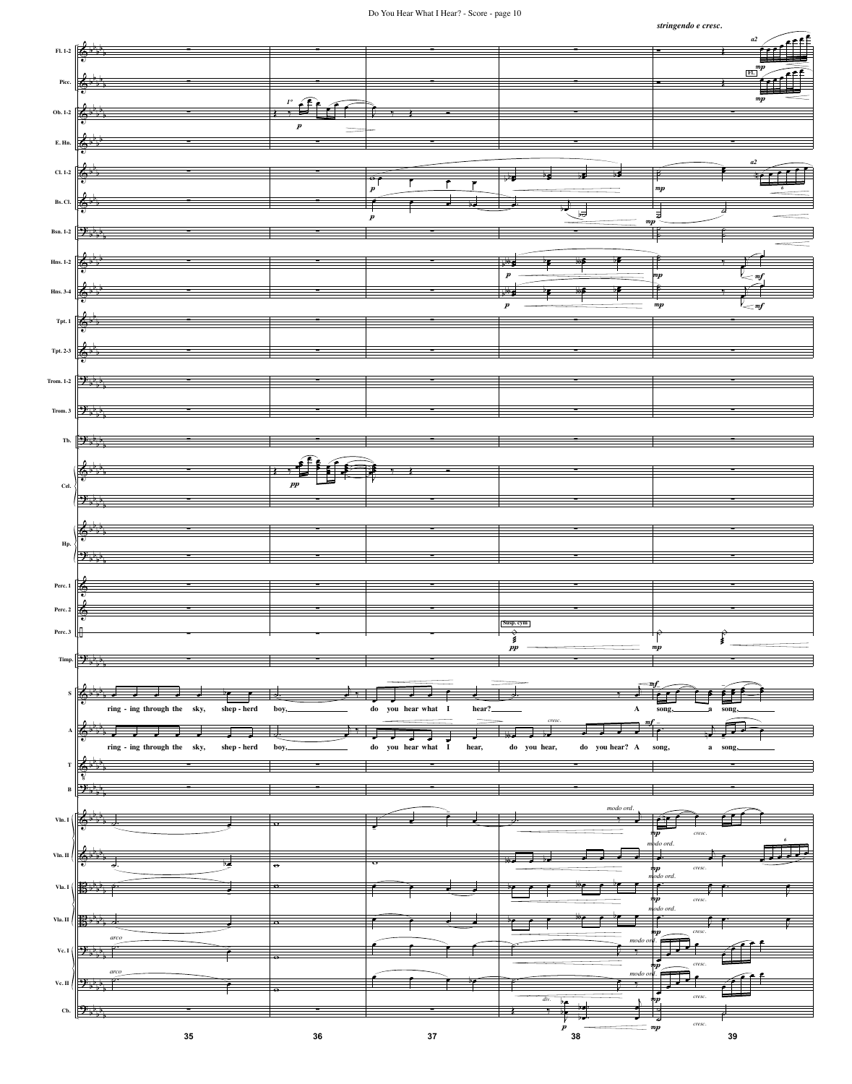*stringendo e cresc.*

| $F1.1-2$           |                                                                                                                                                                                                                                                                                                                                                                                                                                                   |             |                                                                                                                                                                                                                                                                                                                                                                                                                                                                 |                          |                      |                                                                                                                                                                                                                                                                                                                                                                                                                                   |                |                                                   |                                                   |
|--------------------|---------------------------------------------------------------------------------------------------------------------------------------------------------------------------------------------------------------------------------------------------------------------------------------------------------------------------------------------------------------------------------------------------------------------------------------------------|-------------|-----------------------------------------------------------------------------------------------------------------------------------------------------------------------------------------------------------------------------------------------------------------------------------------------------------------------------------------------------------------------------------------------------------------------------------------------------------------|--------------------------|----------------------|-----------------------------------------------------------------------------------------------------------------------------------------------------------------------------------------------------------------------------------------------------------------------------------------------------------------------------------------------------------------------------------------------------------------------------------|----------------|---------------------------------------------------|---------------------------------------------------|
|                    |                                                                                                                                                                                                                                                                                                                                                                                                                                                   |             |                                                                                                                                                                                                                                                                                                                                                                                                                                                                 |                          |                      |                                                                                                                                                                                                                                                                                                                                                                                                                                   |                |                                                   | $\frac{mp}{\boxed{\text{FL}}}$                    |
|                    | Picc.                                                                                                                                                                                                                                                                                                                                                                                                                                             |             |                                                                                                                                                                                                                                                                                                                                                                                                                                                                 |                          |                      |                                                                                                                                                                                                                                                                                                                                                                                                                                   |                |                                                   | mp                                                |
|                    | Ob. 1-2                                                                                                                                                                                                                                                                                                                                                                                                                                           |             | $\frac{r}{\sqrt{r}}$<br>$\boldsymbol{p}$                                                                                                                                                                                                                                                                                                                                                                                                                        |                          |                      |                                                                                                                                                                                                                                                                                                                                                                                                                                   |                |                                                   |                                                   |
|                    | E. Hn. $\theta$                                                                                                                                                                                                                                                                                                                                                                                                                                   |             |                                                                                                                                                                                                                                                                                                                                                                                                                                                                 |                          |                      |                                                                                                                                                                                                                                                                                                                                                                                                                                   |                |                                                   |                                                   |
|                    | Cl. 1-2<br>$\frac{1}{\sqrt{2}}$                                                                                                                                                                                                                                                                                                                                                                                                                   |             | $\begin{array}{c c c c c} \hline \multicolumn{3}{c }{\textbf{0}} & \multicolumn{3}{c }{\textbf{0}} \\ \hline \multicolumn{3}{c }{\textbf{0}} & \multicolumn{3}{c }{\textbf{0}} \\ \hline \multicolumn{3}{c }{\textbf{0}} & \multicolumn{3}{c }{\textbf{0}} \\ \hline \multicolumn{3}{c }{\textbf{0}} & \multicolumn{3}{c }{\textbf{0}} \\ \hline \multicolumn{3}{c }{\textbf{0}} & \multicolumn{3}{c }{\textbf{0}} \\ \hline \multicolumn{3}{c }{\textbf{0}} &$ |                          | $\overline{\bullet}$ |                                                                                                                                                                                                                                                                                                                                                                                                                                   |                |                                                   | a2                                                |
|                    | Bs. Cl. $\frac{1}{\sqrt{2}} \frac{1}{\sqrt{2}}$                                                                                                                                                                                                                                                                                                                                                                                                   |             |                                                                                                                                                                                                                                                                                                                                                                                                                                                                 | $\overline{\phantom{a}}$ |                      |                                                                                                                                                                                                                                                                                                                                                                                                                                   |                | $\boldsymbol{m}\boldsymbol{p}$                    |                                                   |
|                    | Bsn. 1-2 $\frac{1}{\sqrt{2}}$                                                                                                                                                                                                                                                                                                                                                                                                                     |             |                                                                                                                                                                                                                                                                                                                                                                                                                                                                 |                          |                      | $\frac{1}{\sqrt{1-\frac{1}{\sqrt{1-\frac{1}{\sqrt{1-\frac{1}{\sqrt{1-\frac{1}{\sqrt{1-\frac{1}{\sqrt{1-\frac{1}{\sqrt{1-\frac{1}{\sqrt{1-\frac{1}{\sqrt{1-\frac{1}{\sqrt{1-\frac{1}{\sqrt{1-\frac{1}{\sqrt{1-\frac{1}{\sqrt{1-\frac{1}{\sqrt{1-\frac{1}{\sqrt{1-\frac{1}{\sqrt{1-\frac{1}{\sqrt{1-\frac{1}{\sqrt{1-\frac{1}{\sqrt{1-\frac{1}{\sqrt{1-\frac{1}{\sqrt{1-\frac{1}{\sqrt{1-\frac{1}{\sqrt{1-\frac{1}{\sqrt{1-\frac{1$ |                | $\frac{mp}{\frac{mp}{\sqrt{2}}}\$                 |                                                   |
|                    | Hns. 1-2 $\frac{2}{\sqrt{2}} + \frac{b}{b}$                                                                                                                                                                                                                                                                                                                                                                                                       |             |                                                                                                                                                                                                                                                                                                                                                                                                                                                                 |                          |                      |                                                                                                                                                                                                                                                                                                                                                                                                                                   | $\frac{1}{2}$  |                                                   |                                                   |
|                    |                                                                                                                                                                                                                                                                                                                                                                                                                                                   |             |                                                                                                                                                                                                                                                                                                                                                                                                                                                                 |                          |                      | $\overline{p}$ .                                                                                                                                                                                                                                                                                                                                                                                                                  |                |                                                   | $\overline{\mathcal{L}_{\underbar{\mathit{mf}}}}$ |
|                    | Hns. 3-4 $\frac{2}{\sqrt{3}-\frac{1}{2}-\frac{1}{2}}$                                                                                                                                                                                                                                                                                                                                                                                             |             |                                                                                                                                                                                                                                                                                                                                                                                                                                                                 |                          |                      | $\frac{1}{2}$                                                                                                                                                                                                                                                                                                                                                                                                                     |                | mp                                                | $\overline{$                                      |
|                    | Tpt.1                                                                                                                                                                                                                                                                                                                                                                                                                                             |             |                                                                                                                                                                                                                                                                                                                                                                                                                                                                 |                          |                      |                                                                                                                                                                                                                                                                                                                                                                                                                                   |                |                                                   |                                                   |
|                    | Tpt. 2-3 $\frac{2 + \frac{1}{2} + \frac{1}{2}}{\frac{1}{2} + \frac{1}{2} + \frac{1}{2}}$                                                                                                                                                                                                                                                                                                                                                          |             |                                                                                                                                                                                                                                                                                                                                                                                                                                                                 |                          |                      |                                                                                                                                                                                                                                                                                                                                                                                                                                   |                |                                                   |                                                   |
|                    | Trom. 1-2 $\frac{1}{\sqrt{2}}$                                                                                                                                                                                                                                                                                                                                                                                                                    |             |                                                                                                                                                                                                                                                                                                                                                                                                                                                                 |                          |                      |                                                                                                                                                                                                                                                                                                                                                                                                                                   |                |                                                   |                                                   |
|                    | Trom. 3 $\frac{1}{\left  \frac{1}{\left  \frac{1}{\left  \frac{1}{\left  \frac{1}{\left  \frac{1}{\left  \frac{1}{\left  \frac{1}{\left  \frac{1}{\left  \frac{1}{\left  \frac{1}{\left  \frac{1}{\left  \frac{1}{\left  \frac{1}{\left  \frac{1}{\left  \frac{1}{\left  \frac{1}{\left  \frac{1}{\left  \frac{1}{\left  \frac{1}{\left  \frac{1}{\left  \frac{1}{\left  \frac{1}{\left  \frac{1}{\left  \frac{1}{\left  \frac{1}{\left  \frac{1$ |             |                                                                                                                                                                                                                                                                                                                                                                                                                                                                 |                          |                      |                                                                                                                                                                                                                                                                                                                                                                                                                                   |                |                                                   |                                                   |
|                    | ть. $\boxed{2}$                                                                                                                                                                                                                                                                                                                                                                                                                                   |             |                                                                                                                                                                                                                                                                                                                                                                                                                                                                 |                          |                      |                                                                                                                                                                                                                                                                                                                                                                                                                                   |                |                                                   |                                                   |
|                    |                                                                                                                                                                                                                                                                                                                                                                                                                                                   |             | f                                                                                                                                                                                                                                                                                                                                                                                                                                                               |                          |                      |                                                                                                                                                                                                                                                                                                                                                                                                                                   |                |                                                   |                                                   |
| Cel.               |                                                                                                                                                                                                                                                                                                                                                                                                                                                   |             | $\frac{p}{p}$                                                                                                                                                                                                                                                                                                                                                                                                                                                   |                          |                      |                                                                                                                                                                                                                                                                                                                                                                                                                                   |                |                                                   |                                                   |
|                    | $\frac{1}{2}$                                                                                                                                                                                                                                                                                                                                                                                                                                     |             |                                                                                                                                                                                                                                                                                                                                                                                                                                                                 |                          |                      |                                                                                                                                                                                                                                                                                                                                                                                                                                   |                |                                                   |                                                   |
| Hp.                |                                                                                                                                                                                                                                                                                                                                                                                                                                                   |             |                                                                                                                                                                                                                                                                                                                                                                                                                                                                 |                          |                      |                                                                                                                                                                                                                                                                                                                                                                                                                                   |                |                                                   |                                                   |
|                    | <u>D,</u>                                                                                                                                                                                                                                                                                                                                                                                                                                         |             |                                                                                                                                                                                                                                                                                                                                                                                                                                                                 |                          |                      |                                                                                                                                                                                                                                                                                                                                                                                                                                   |                |                                                   |                                                   |
| Perc. 1            |                                                                                                                                                                                                                                                                                                                                                                                                                                                   |             |                                                                                                                                                                                                                                                                                                                                                                                                                                                                 |                          |                      |                                                                                                                                                                                                                                                                                                                                                                                                                                   |                |                                                   |                                                   |
| Perc. 2<br>Perc. 3 |                                                                                                                                                                                                                                                                                                                                                                                                                                                   |             |                                                                                                                                                                                                                                                                                                                                                                                                                                                                 |                          |                      | Susp.cym<br>€                                                                                                                                                                                                                                                                                                                                                                                                                     |                |                                                   |                                                   |
| Timp.              |                                                                                                                                                                                                                                                                                                                                                                                                                                                   |             |                                                                                                                                                                                                                                                                                                                                                                                                                                                                 |                          |                      | 彡<br>$\boldsymbol{pp}$                                                                                                                                                                                                                                                                                                                                                                                                            |                | ŧ<br>$\mathfrak{m}p$                              |                                                   |
|                    | $\mathcal{D}$ ,                                                                                                                                                                                                                                                                                                                                                                                                                                   |             |                                                                                                                                                                                                                                                                                                                                                                                                                                                                 |                          |                      |                                                                                                                                                                                                                                                                                                                                                                                                                                   |                |                                                   |                                                   |
| ${\bf S}$          | $\bullet$<br>ring - ing through the sky,                                                                                                                                                                                                                                                                                                                                                                                                          | shep - herd | boy,                                                                                                                                                                                                                                                                                                                                                                                                                                                            | do you hear what I       | hear?                |                                                                                                                                                                                                                                                                                                                                                                                                                                   | $\mathbf{A}$   | song,<br>_a song,                                 |                                                   |
|                    |                                                                                                                                                                                                                                                                                                                                                                                                                                                   |             |                                                                                                                                                                                                                                                                                                                                                                                                                                                                 | ≖                        |                      | cresc.                                                                                                                                                                                                                                                                                                                                                                                                                            | m <sub>i</sub> |                                                   |                                                   |
| $\mathbf T$        | ring - ing through the sky,                                                                                                                                                                                                                                                                                                                                                                                                                       | shep - herd | boy,                                                                                                                                                                                                                                                                                                                                                                                                                                                            | do you hear what I       | hear,                | do you hear,                                                                                                                                                                                                                                                                                                                                                                                                                      | do you hear? A | song,                                             | a song,                                           |
| $\, {\bf B} \,$    | <del>(∩° ∍</del> '⊧<br>$\mathfrak{P}_+$                                                                                                                                                                                                                                                                                                                                                                                                           |             |                                                                                                                                                                                                                                                                                                                                                                                                                                                                 |                          |                      |                                                                                                                                                                                                                                                                                                                                                                                                                                   |                |                                                   |                                                   |
| Vln. I             |                                                                                                                                                                                                                                                                                                                                                                                                                                                   |             |                                                                                                                                                                                                                                                                                                                                                                                                                                                                 |                          |                      |                                                                                                                                                                                                                                                                                                                                                                                                                                   | modo ord.      |                                                   |                                                   |
|                    |                                                                                                                                                                                                                                                                                                                                                                                                                                                   |             |                                                                                                                                                                                                                                                                                                                                                                                                                                                                 |                          |                      |                                                                                                                                                                                                                                                                                                                                                                                                                                   |                | cresc.<br>mр<br>modo ord.                         |                                                   |
| $Vln.$ II          |                                                                                                                                                                                                                                                                                                                                                                                                                                                   | b o         | $\sigma$                                                                                                                                                                                                                                                                                                                                                                                                                                                        | π                        |                      |                                                                                                                                                                                                                                                                                                                                                                                                                                   |                | cresc.<br>$\mathfrak{m}p$                         |                                                   |
| Vla. I             |                                                                                                                                                                                                                                                                                                                                                                                                                                                   |             | $\overline{\mathbf{v}}$                                                                                                                                                                                                                                                                                                                                                                                                                                         |                          |                      |                                                                                                                                                                                                                                                                                                                                                                                                                                   |                | modo ord.<br>mр<br>cresc.                         |                                                   |
| $Vla.$ II          | 勝歩                                                                                                                                                                                                                                                                                                                                                                                                                                                |             | þ                                                                                                                                                                                                                                                                                                                                                                                                                                                               |                          |                      |                                                                                                                                                                                                                                                                                                                                                                                                                                   |                | modo ord.<br>ŀ                                    |                                                   |
| Vc. I              | $\mathit{arco}$                                                                                                                                                                                                                                                                                                                                                                                                                                   |             |                                                                                                                                                                                                                                                                                                                                                                                                                                                                 |                          |                      |                                                                                                                                                                                                                                                                                                                                                                                                                                   | modo ord.      | cresc.<br>mm                                      |                                                   |
|                    | $\mathit{arco}$                                                                                                                                                                                                                                                                                                                                                                                                                                   |             |                                                                                                                                                                                                                                                                                                                                                                                                                                                                 |                          |                      |                                                                                                                                                                                                                                                                                                                                                                                                                                   |                | cresc.<br>mр<br>$modo$ ord. $\Box$                |                                                   |
| Vc. II             | ₩                                                                                                                                                                                                                                                                                                                                                                                                                                                 |             |                                                                                                                                                                                                                                                                                                                                                                                                                                                                 |                          |                      | div.                                                                                                                                                                                                                                                                                                                                                                                                                              |                | ╺<br>cresc.<br>$\frac{mp}{d}$                     |                                                   |
| Cb.                |                                                                                                                                                                                                                                                                                                                                                                                                                                                   |             |                                                                                                                                                                                                                                                                                                                                                                                                                                                                 |                          |                      | $\boldsymbol{p}$                                                                                                                                                                                                                                                                                                                                                                                                                  |                | $\ensuremath{\mathit{cres}}\xspace$ .<br>$\it mp$ |                                                   |
|                    |                                                                                                                                                                                                                                                                                                                                                                                                                                                   | ${\bf 35}$  | ${\bf 36}$                                                                                                                                                                                                                                                                                                                                                                                                                                                      | ${\bf 37}$               |                      | ${\bf 38}$                                                                                                                                                                                                                                                                                                                                                                                                                        |                |                                                   | 39                                                |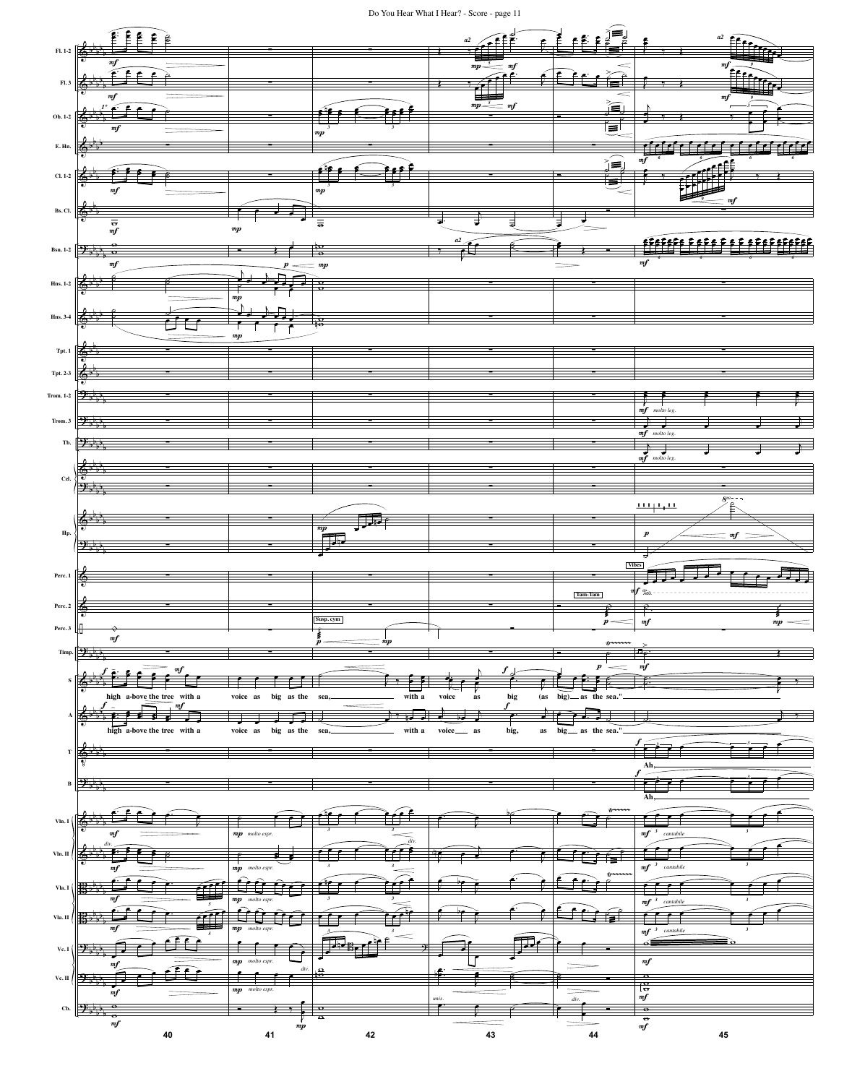Do You Hear What I Hear? - Score - page 11

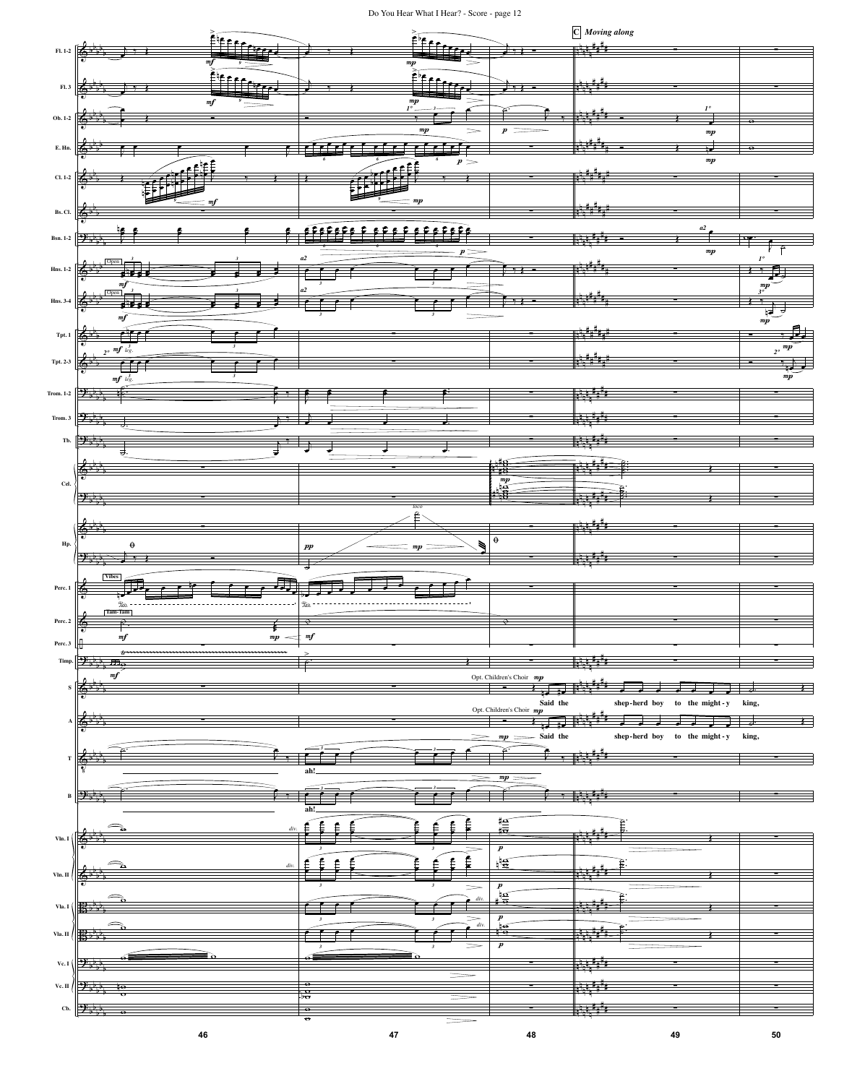|                                                       |                                                                 |                                                                                                             | $\boxed{\text{C}}$ Moving along                                                                            |
|-------------------------------------------------------|-----------------------------------------------------------------|-------------------------------------------------------------------------------------------------------------|------------------------------------------------------------------------------------------------------------|
| $F1.1-2$                                              |                                                                 | $\rightarrow$ 9 $\rightarrow$                                                                               | والبرة                                                                                                     |
| F1.3                                                  |                                                                 | $\it mp$                                                                                                    |                                                                                                            |
|                                                       | m f                                                             | $\lim_{I^{\circ}\hspace{-.05cm}\rightarrow\hspace{-.05cm} }$                                                |                                                                                                            |
| Ob. 1-2                                               |                                                                 | $\overline{mp}$<br>$\boldsymbol{p}$<br>$\Rightarrow$                                                        | $\it mp$                                                                                                   |
| E. Hn.                                                |                                                                 |                                                                                                             |                                                                                                            |
|                                                       |                                                                 | p >                                                                                                         | $\it mp$                                                                                                   |
| $\mathbf{C} \mathbf{l}.$ 1-2                          |                                                                 |                                                                                                             |                                                                                                            |
| Bs. Cl.                                               | $\boldsymbol{m}$<br>$\mathbb{A}^{\mathbb{R}}$                   | mp                                                                                                          |                                                                                                            |
|                                                       |                                                                 |                                                                                                             | a2                                                                                                         |
| <b>Bsn. 1-2</b>                                       |                                                                 | $p =$                                                                                                       | $\it mp$                                                                                                   |
| $\mathbf{H}\mathbf{ns}, \mathbf{1}\text{-}\mathbf{2}$ | Open                                                            | a2                                                                                                          |                                                                                                            |
|                                                       | тJ                                                              | a2                                                                                                          | $\int_{3^{\circ}}^{mp}$                                                                                    |
| <b>Hns. 3-4</b>                                       |                                                                 |                                                                                                             | म्रुंच                                                                                                     |
|                                                       | mf                                                              |                                                                                                             | $\mathbf{m}$<br>€                                                                                          |
| Tpt. 1                                                | $2^{\circ}$ mf $\frac{3}{\log 2}$                               |                                                                                                             | $\frac{1}{2}$ $\frac{1}{mp}$                                                                               |
| $_\mathrm{Tpt.}$ 2-3                                  |                                                                 |                                                                                                             | 幂                                                                                                          |
| Trom. 1-2                                             | $m f \overline{\int_{e g}^{3}}$<br>$\rightarrow$                |                                                                                                             |                                                                                                            |
|                                                       |                                                                 |                                                                                                             |                                                                                                            |
| Trom. 3                                               | $\rightarrow$                                                   |                                                                                                             |                                                                                                            |
| TЬ.                                                   | $9+$<br>ᆿ.                                                      |                                                                                                             |                                                                                                            |
|                                                       |                                                                 | $\frac{48}{18}$                                                                                             |                                                                                                            |
| Cel.                                                  |                                                                 | mp<br><u>ella</u>                                                                                           |                                                                                                            |
|                                                       | ( <del>) }}</del>                                               |                                                                                                             | नीप्र                                                                                                      |
|                                                       |                                                                 | $\mathbf{f}$                                                                                                |                                                                                                            |
| Hp.                                                   |                                                                 | $\Theta$<br>Ø<br>$\boldsymbol{pp}$<br>$mp =$                                                                |                                                                                                            |
|                                                       | ⇒<br><b>Vibes</b>                                               |                                                                                                             |                                                                                                            |
| Perc. $1$                                             | 孟                                                               |                                                                                                             |                                                                                                            |
|                                                       | Red.<br>Tam-Tam                                                 | 'Xeo.                                                                                                       |                                                                                                            |
| Perc. 2                                               | $\it mp$<br>mf                                                  | $m\!f$                                                                                                      |                                                                                                            |
| Perc. $3$                                             |                                                                 |                                                                                                             |                                                                                                            |
| Timp.                                                 | ₿<br>mf                                                         | Opt. Children's Choir $mp$                                                                                  |                                                                                                            |
| ${\bf S}$                                             |                                                                 |                                                                                                             |                                                                                                            |
|                                                       |                                                                 | Said the<br>Opt. Children's Choir $mp$                                                                      | shep-herd boy to the might-y king,                                                                         |
| $\mathbf A$                                           |                                                                 | $\frac{1}{2}$ mp $\frac{1}{2}$ Said the                                                                     | $\begin{tabular}{llll} \bf shep-herd & boy &\bf to & the \; might \mbox{-}\,y & \quad king, \end{tabular}$ |
| $\mathbf T$                                           |                                                                 |                                                                                                             |                                                                                                            |
|                                                       |                                                                 | ah!<br>$mp =$                                                                                               |                                                                                                            |
| $\, {\bf B} \,$                                       |                                                                 |                                                                                                             |                                                                                                            |
|                                                       |                                                                 | ah!                                                                                                         |                                                                                                            |
| Vln. I                                                | $div.$                                                          | 桓<br>$\mathbf{f}$<br>E<br>€<br>€                                                                            | Ê                                                                                                          |
|                                                       |                                                                 | $\boldsymbol{p}$<br>₿<br>₿                                                                                  |                                                                                                            |
| Vln. II                                               | div.                                                            | <u> ।।ई</u><br>Ê                                                                                            |                                                                                                            |
|                                                       |                                                                 | $\pmb{p}$<br>$\overline{\mathbf{3}}$<br>$\mathcal{R}$<br>$\Rightarrow$<br>$\frac{\frac{1}{2}}{\frac{1}{2}}$ |                                                                                                            |
| Vla.I                                                 |                                                                 | $\boldsymbol{p}$                                                                                            |                                                                                                            |
| $_{\rm Vla.\,II}$                                     |                                                                 | div<br>$\frac{16}{10}$                                                                                      |                                                                                                            |
|                                                       |                                                                 | $\boldsymbol{p}$<br>$\boldsymbol{\beta}$<br>$\boldsymbol{\beta}$                                            |                                                                                                            |
| $\mathbf{Vc. I}$                                      |                                                                 |                                                                                                             |                                                                                                            |
|                                                       | $v_{c.II}$ $\sqrt{\frac{9.111}{2.60}}$<br>$\boldsymbol{\sigma}$ | $\overline{\bullet}$<br>$\qquad \qquad \Longrightarrow$                                                     | 44 P                                                                                                       |
|                                                       | сь. $\frac{1}{2}$                                               | $\frac{1}{\sqrt{2}}$<br>$\equiv$                                                                            | <u>सम्</u> त की                                                                                            |
|                                                       | 46                                                              | 47<br>48                                                                                                    | 49<br>${\bf 50}$                                                                                           |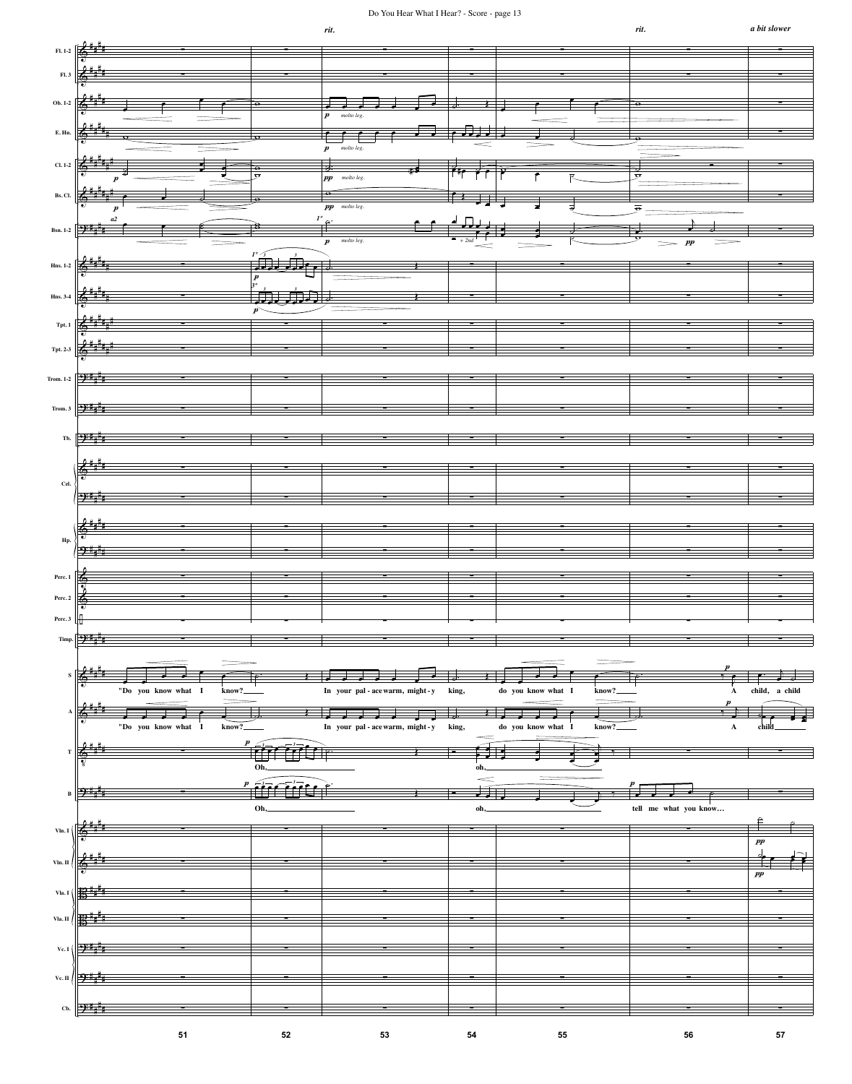|                                                                                                    |          |                                                 | rit.                                   |       |                      |                    |        | rit.                  | a bit slower                |
|----------------------------------------------------------------------------------------------------|----------|-------------------------------------------------|----------------------------------------|-------|----------------------|--------------------|--------|-----------------------|-----------------------------|
| $\mathbf{F} \mathbf{l}$ . 1-2                                                                      |          |                                                 |                                        |       |                      |                    |        |                       |                             |
|                                                                                                    |          |                                                 |                                        |       |                      |                    |        |                       |                             |
| F1.3                                                                                               |          |                                                 |                                        |       |                      |                    |        |                       |                             |
|                                                                                                    |          |                                                 |                                        |       |                      |                    |        |                       |                             |
|                                                                                                    |          |                                                 |                                        |       |                      |                    |        |                       |                             |
|                                                                                                    |          |                                                 | $\emph{molto leg}$<br>$\boldsymbol{p}$ |       |                      |                    |        |                       |                             |
|                                                                                                    |          |                                                 |                                        |       |                      |                    |        |                       |                             |
|                                                                                                    |          |                                                 | $\boldsymbol{p}$<br>molto leg.         |       |                      |                    |        |                       |                             |
|                                                                                                    |          |                                                 |                                        |       |                      |                    |        |                       |                             |
|                                                                                                    |          | $\frac{9}{9}$                                   |                                        |       |                      |                    |        |                       |                             |
|                                                                                                    |          |                                                 | $pp$ molto leg.                        |       |                      |                    |        | $\frac{a}{\sigma}$    |                             |
| $\overline{B}$ s. Cl.                                                                              |          |                                                 | $\overline{\bullet}$                   |       |                      |                    |        |                       |                             |
|                                                                                                    |          |                                                 | $pp$ molto leg.                        |       |                      |                    |        | $\overline{\sigma}$   |                             |
|                                                                                                    |          |                                                 | $\frac{l^{\circ}}{l^{\circ}}$          |       |                      |                    |        |                       |                             |
|                                                                                                    |          |                                                 |                                        |       | $\frac{1}{\sqrt{2}}$ |                    |        |                       |                             |
|                                                                                                    |          |                                                 | $\overline{p}$ molto leg.              |       |                      |                    |        |                       |                             |
|                                                                                                    |          | $\frac{I^{\circ} \mathcal{A}}{\longrightarrow}$ |                                        |       |                      |                    |        |                       |                             |
|                                                                                                    |          | 77. J. J.                                       |                                        |       |                      |                    |        |                       |                             |
|                                                                                                    |          | $\frac{p}{3}$                                   |                                        |       |                      |                    |        |                       |                             |
|                                                                                                    |          |                                                 |                                        |       |                      |                    |        |                       |                             |
|                                                                                                    |          |                                                 |                                        |       |                      |                    |        |                       |                             |
|                                                                                                    |          |                                                 |                                        |       |                      |                    |        |                       |                             |
| Tpt. 1                                                                                             |          |                                                 |                                        |       |                      |                    |        |                       |                             |
|                                                                                                    |          |                                                 |                                        |       |                      |                    |        |                       |                             |
|                                                                                                    |          |                                                 |                                        |       |                      |                    |        |                       |                             |
|                                                                                                    |          |                                                 |                                        |       |                      |                    |        |                       |                             |
| السافي                                                                                             |          |                                                 |                                        |       |                      |                    |        |                       |                             |
|                                                                                                    |          |                                                 |                                        |       |                      |                    |        |                       |                             |
| •): 1, 1                                                                                           |          |                                                 |                                        |       |                      |                    |        |                       |                             |
|                                                                                                    |          |                                                 |                                        |       |                      |                    |        |                       |                             |
| Tb.                                                                                                |          |                                                 |                                        |       |                      |                    |        |                       |                             |
| -9∺⊯                                                                                               |          |                                                 |                                        |       |                      |                    |        |                       |                             |
|                                                                                                    |          |                                                 |                                        |       |                      |                    |        |                       |                             |
|                                                                                                    |          |                                                 |                                        |       |                      |                    |        |                       |                             |
|                                                                                                    |          |                                                 |                                        |       |                      |                    |        |                       |                             |
|                                                                                                    |          |                                                 |                                        |       |                      |                    |        |                       |                             |
| 955                                                                                                |          |                                                 |                                        |       |                      |                    |        |                       |                             |
|                                                                                                    |          |                                                 |                                        |       |                      |                    |        |                       |                             |
|                                                                                                    |          |                                                 |                                        |       |                      |                    |        |                       |                             |
|                                                                                                    |          |                                                 |                                        |       |                      |                    |        |                       |                             |
| -9∺⊯                                                                                               |          |                                                 |                                        |       |                      |                    |        |                       |                             |
|                                                                                                    |          |                                                 |                                        |       |                      |                    |        |                       |                             |
|                                                                                                    |          |                                                 |                                        |       |                      |                    |        |                       |                             |
|                                                                                                    |          |                                                 |                                        |       |                      |                    |        |                       |                             |
| $\mbox{Perc.}~2$                                                                                   |          |                                                 |                                        |       |                      |                    |        |                       |                             |
| Perc. 3                                                                                            |          |                                                 |                                        |       |                      |                    |        |                       |                             |
|                                                                                                    |          |                                                 |                                        |       |                      |                    |        |                       |                             |
| 9:1                                                                                                |          |                                                 |                                        |       |                      |                    |        |                       |                             |
|                                                                                                    |          |                                                 |                                        |       |                      |                    |        |                       |                             |
|                                                                                                    |          |                                                 |                                        |       |                      |                    |        |                       | n                           |
| ${\bf S}$                                                                                          |          |                                                 |                                        |       |                      |                    |        |                       |                             |
| "Do you know what I                                                                                | know?    |                                                 | In your pal - acewarm, might - y       | king, |                      | do you know what I | know?_ |                       | child, a child<br>${\bf A}$ |
|                                                                                                    | $\equiv$ |                                                 |                                        |       |                      |                    |        |                       |                             |
|                                                                                                    |          |                                                 |                                        |       |                      |                    |        |                       |                             |
| "Do you know what I                                                                                | know?    |                                                 | In your pal - acewarm, might - y       | king, |                      | do you know what I | know?  |                       | child.<br>${\bf A}$         |
|                                                                                                    |          | $\boldsymbol{p}$                                |                                        |       | =                    |                    |        |                       |                             |
| $\mathbf T$                                                                                        |          | $\overline{\phantom{a}}$<br><b>***</b>          |                                        |       |                      |                    |        |                       |                             |
|                                                                                                    |          | Oh,                                             |                                        |       | oh,                  |                    |        |                       |                             |
|                                                                                                    |          |                                                 |                                        |       | $\lt$                | -                  |        |                       |                             |
| $\, {\bf B} \,$<br>∺י                                                                              |          | $\frac{p}{\sqrt{p^2-p^2}}$                      |                                        |       |                      |                    |        | $\boldsymbol{p}$      |                             |
|                                                                                                    |          |                                                 |                                        |       |                      |                    |        |                       |                             |
|                                                                                                    |          | Oh,                                             |                                        |       | oh,                  |                    |        | tell me what you know |                             |
|                                                                                                    |          |                                                 |                                        |       |                      |                    |        |                       | ₽                           |
|                                                                                                    |          |                                                 |                                        |       |                      |                    |        |                       | $\pmb{pp}$                  |
|                                                                                                    |          |                                                 |                                        |       |                      |                    |        |                       |                             |
|                                                                                                    |          |                                                 |                                        |       |                      |                    |        |                       |                             |
|                                                                                                    |          |                                                 |                                        |       |                      |                    |        |                       | $\pmb{pp}$                  |
| Vla. I                                                                                             |          |                                                 |                                        |       |                      |                    |        |                       |                             |
|                                                                                                    |          |                                                 |                                        |       |                      |                    |        |                       |                             |
|                                                                                                    |          |                                                 |                                        |       |                      |                    |        |                       |                             |
| 式                                                                                                  |          |                                                 |                                        |       |                      |                    |        |                       |                             |
|                                                                                                    |          |                                                 |                                        |       |                      |                    |        |                       |                             |
|                                                                                                    |          |                                                 |                                        |       |                      |                    |        |                       |                             |
|                                                                                                    |          |                                                 |                                        |       |                      |                    |        |                       |                             |
|                                                                                                    |          |                                                 |                                        |       |                      |                    |        |                       |                             |
|                                                                                                    |          |                                                 |                                        |       |                      |                    |        |                       |                             |
|                                                                                                    |          |                                                 |                                        |       |                      |                    |        |                       |                             |
| $v_{c.1}$ $\sqrt{\frac{1}{2} + \frac{1}{2} + \frac{1}{2}}$<br>$v_{c. II}$ $\sqrt{\frac{D+1}{D+1}}$ |          |                                                 |                                        |       |                      |                    |        |                       |                             |
|                                                                                                    |          |                                                 |                                        |       |                      |                    |        |                       |                             |
| сь. $\frac{1}{2}$                                                                                  |          |                                                 |                                        |       |                      |                    |        |                       |                             |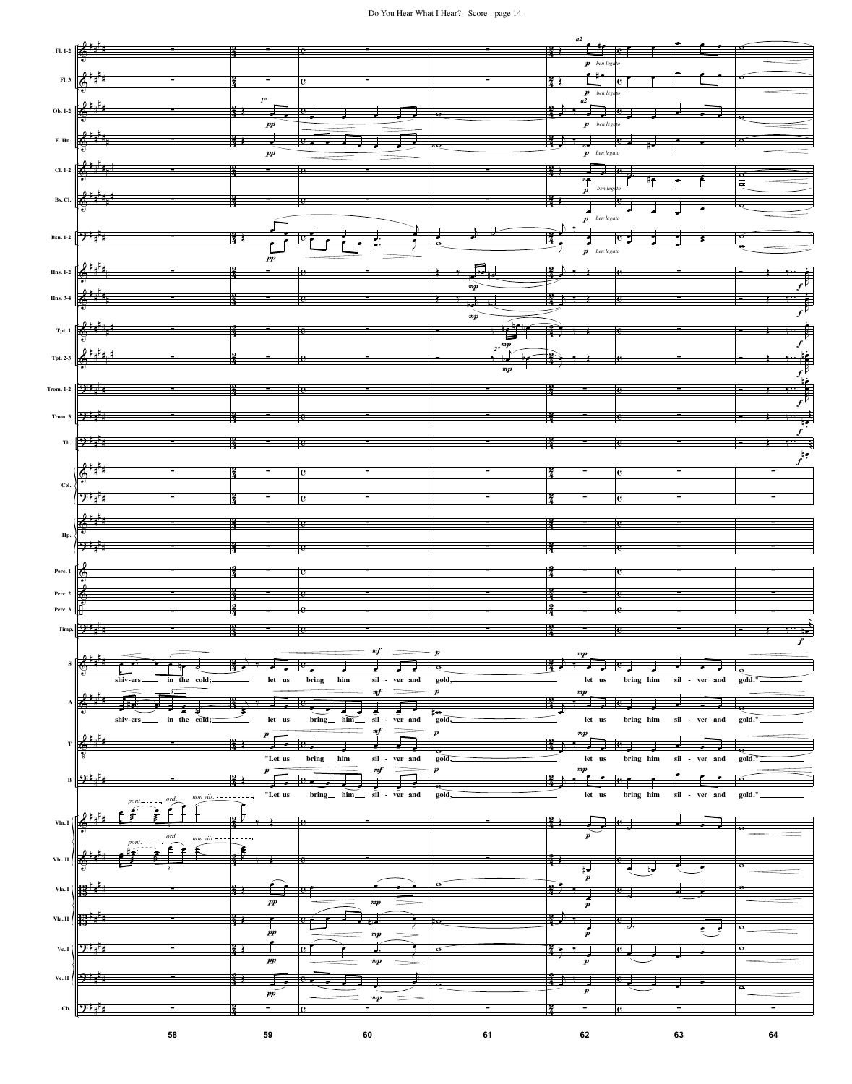| FI. 1-2 $\frac{24}{100}$                                                           |                                           |                                        |                                                                                                                                                                                                                                                                                                                                                                                        |                                                                                                                                                                                                                                                                                                                                                                                                                                     |                                                                                                                                                                                                                                                                                                                                                                                                                                                                                          |                                                                      |                              |
|------------------------------------------------------------------------------------|-------------------------------------------|----------------------------------------|----------------------------------------------------------------------------------------------------------------------------------------------------------------------------------------------------------------------------------------------------------------------------------------------------------------------------------------------------------------------------------------|-------------------------------------------------------------------------------------------------------------------------------------------------------------------------------------------------------------------------------------------------------------------------------------------------------------------------------------------------------------------------------------------------------------------------------------|------------------------------------------------------------------------------------------------------------------------------------------------------------------------------------------------------------------------------------------------------------------------------------------------------------------------------------------------------------------------------------------------------------------------------------------------------------------------------------------|----------------------------------------------------------------------|------------------------------|
|                                                                                    |                                           |                                        |                                                                                                                                                                                                                                                                                                                                                                                        |                                                                                                                                                                                                                                                                                                                                                                                                                                     | $\overline{p}$ ben legate                                                                                                                                                                                                                                                                                                                                                                                                                                                                |                                                                      |                              |
| Fl.3 $\frac{1}{2}$                                                                 |                                           | $+{\rm e}$                             |                                                                                                                                                                                                                                                                                                                                                                                        |                                                                                                                                                                                                                                                                                                                                                                                                                                     | $\frac{2}{4}$                                                                                                                                                                                                                                                                                                                                                                                                                                                                            |                                                                      |                              |
|                                                                                    |                                           |                                        |                                                                                                                                                                                                                                                                                                                                                                                        |                                                                                                                                                                                                                                                                                                                                                                                                                                     | $\frac{p}{a^2}$<br>ben legat                                                                                                                                                                                                                                                                                                                                                                                                                                                             |                                                                      |                              |
| Ob. 1-2 $\frac{2}{10}$                                                             |                                           | $\frac{2}{4}$ :<br>$\equiv$ e $\equiv$ | <u> a strong de la partida de la partida de la partida de la partida de la partida de la partida de la partida d</u>                                                                                                                                                                                                                                                                   | $\frac{8}{4}$                                                                                                                                                                                                                                                                                                                                                                                                                       |                                                                                                                                                                                                                                                                                                                                                                                                                                                                                          |                                                                      |                              |
|                                                                                    |                                           | pp                                     |                                                                                                                                                                                                                                                                                                                                                                                        |                                                                                                                                                                                                                                                                                                                                                                                                                                     | $p$ ben legal                                                                                                                                                                                                                                                                                                                                                                                                                                                                            |                                                                      |                              |
|                                                                                    |                                           | $\frac{2}{3}$                          | <u>e i</u><br>$\triangleq$<br><b>Tend</b>                                                                                                                                                                                                                                                                                                                                              |                                                                                                                                                                                                                                                                                                                                                                                                                                     | $\frac{2}{4}$                                                                                                                                                                                                                                                                                                                                                                                                                                                                            |                                                                      |                              |
|                                                                                    |                                           | pp                                     |                                                                                                                                                                                                                                                                                                                                                                                        |                                                                                                                                                                                                                                                                                                                                                                                                                                     | $\boldsymbol{p}$ ben legato                                                                                                                                                                                                                                                                                                                                                                                                                                                              |                                                                      |                              |
| Cl. 1-2 $\frac{2}{1}$                                                              |                                           | $\frac{2}{4}$                          | e                                                                                                                                                                                                                                                                                                                                                                                      |                                                                                                                                                                                                                                                                                                                                                                                                                                     | $\frac{2}{4}$                                                                                                                                                                                                                                                                                                                                                                                                                                                                            | $\begin{array}{c c}\n\hline\n\end{array}$<br>$\overline{\mathbb{F}}$ |                              |
|                                                                                    |                                           |                                        | $B_{\rm B}$ , Cl. $\left  \frac{Q_{\rm B} + \frac{H_{\rm B} H_{\rm B}}{H_{\rm B}}}{Q_{\rm B} + \frac{H_{\rm B} H_{\rm B}}{H_{\rm B} + \frac{H_{\rm B}}{H_{\rm B} + \frac{H_{\rm B}}{H_{\rm B} + \frac{H_{\rm B}}{H_{\rm B} + \frac{H_{\rm B}}{H_{\rm B} + \frac{H_{\rm B}}{H_{\rm B} + \frac{H_{\rm B}}{H_{\rm B} + \frac{H_{\rm B}}{H_{\rm B} + \frac{H_{\rm B}}{H_{\rm B} + \frac{H$ |                                                                                                                                                                                                                                                                                                                                                                                                                                     | $\begin{array}{c}\n\hline\n\end{array}\n\qquad\n\begin{array}{c}\n\hline\n\end{array}\n\qquad\n\begin{array}{c}\n\hline\n\end{array}\n\qquad\n\begin{array}{c}\n\hline\n\end{array}\n\qquad\n\begin{array}{c}\n\hline\n\end{array}\n\qquad\n\begin{array}{c}\n\hline\n\end{array}\n\qquad\n\begin{array}{c}\n\hline\n\end{array}\n\qquad\n\begin{array}{c}\n\hline\n\end{array}\n\qquad\n\begin{array}{c}\n\hline\n\end{array}\n\qquad\n\begin{array}{c}\n\hline\n\end{array}\n\qquad\n$ |                                                                      |                              |
|                                                                                    |                                           |                                        |                                                                                                                                                                                                                                                                                                                                                                                        |                                                                                                                                                                                                                                                                                                                                                                                                                                     |                                                                                                                                                                                                                                                                                                                                                                                                                                                                                          | ₹<br>₹                                                               | $\frac{1}{\sqrt{2}}$         |
|                                                                                    |                                           |                                        |                                                                                                                                                                                                                                                                                                                                                                                        |                                                                                                                                                                                                                                                                                                                                                                                                                                     | $\frac{1}{2}$ ben legato<br>$\boldsymbol{p}$                                                                                                                                                                                                                                                                                                                                                                                                                                             |                                                                      |                              |
| Bsn. 1-2 $\frac{1}{2}$                                                             |                                           |                                        | $\frac{1}{\epsilon}$ $\frac{1}{\epsilon}$ $\frac{1}{\epsilon}$ $\frac{1}{\epsilon}$ $\frac{1}{\epsilon}$ $\frac{1}{\epsilon}$ $\frac{1}{\epsilon}$                                                                                                                                                                                                                                     |                                                                                                                                                                                                                                                                                                                                                                                                                                     |                                                                                                                                                                                                                                                                                                                                                                                                                                                                                          |                                                                      |                              |
|                                                                                    |                                           | $\boldsymbol{pp}$                      |                                                                                                                                                                                                                                                                                                                                                                                        |                                                                                                                                                                                                                                                                                                                                                                                                                                     | $\overline{p}$ ben legato                                                                                                                                                                                                                                                                                                                                                                                                                                                                |                                                                      |                              |
| Hns. 1-2 $\frac{1}{2}$                                                             |                                           | $\frac{2}{4}$                          |                                                                                                                                                                                                                                                                                                                                                                                        |                                                                                                                                                                                                                                                                                                                                                                                                                                     |                                                                                                                                                                                                                                                                                                                                                                                                                                                                                          |                                                                      | $\vert - \vert$ $\vert$<br>尹 |
|                                                                                    |                                           |                                        |                                                                                                                                                                                                                                                                                                                                                                                        | $\begin{array}{c}\n\hline\nmp \\ \hline\n\end{array}$                                                                                                                                                                                                                                                                                                                                                                               |                                                                                                                                                                                                                                                                                                                                                                                                                                                                                          |                                                                      |                              |
| Hns. 3-4 $\frac{1}{\sqrt{2} + \frac{1}{2}}$                                        | $\frac{2}{3}$ $\frac{2}{3}$ $\frac{2}{3}$ |                                        | $\frac{1}{\sqrt{6}}$                                                                                                                                                                                                                                                                                                                                                                   |                                                                                                                                                                                                                                                                                                                                                                                                                                     |                                                                                                                                                                                                                                                                                                                                                                                                                                                                                          |                                                                      |                              |
|                                                                                    |                                           |                                        |                                                                                                                                                                                                                                                                                                                                                                                        | $\mathbf{m}\mathbf{p}$<br><del>ع اسم اسم بو</del>                                                                                                                                                                                                                                                                                                                                                                                   |                                                                                                                                                                                                                                                                                                                                                                                                                                                                                          |                                                                      |                              |
| $T_{\text{pt. 1}}$ $\frac{2 \frac{1}{2} + \frac{1}{2}}{\frac{1}{2} + \frac{1}{2}}$ |                                           |                                        |                                                                                                                                                                                                                                                                                                                                                                                        |                                                                                                                                                                                                                                                                                                                                                                                                                                     |                                                                                                                                                                                                                                                                                                                                                                                                                                                                                          |                                                                      | $\overline{\phantom{a}}$     |
| Tpt. 2-3 $\frac{2}{\sqrt{2}}$                                                      |                                           | $\frac{2}{3}$ =                        | $-e$                                                                                                                                                                                                                                                                                                                                                                                   |                                                                                                                                                                                                                                                                                                                                                                                                                                     |                                                                                                                                                                                                                                                                                                                                                                                                                                                                                          |                                                                      |                              |
|                                                                                    |                                           |                                        |                                                                                                                                                                                                                                                                                                                                                                                        | $\frac{2^{\circ}}{1-\frac{2^{\circ}}{1-\frac{2^{\circ}}{1-\frac{2^{\circ}}{1-\frac{2^{\circ}}{1-\frac{2^{\circ}}{1-\frac{2^{\circ}}{1-\frac{2^{\circ}}{1-\frac{2^{\circ}}{1-\frac{2^{\circ}}{1-\frac{2^{\circ}}{1-\frac{2^{\circ}}{1-\frac{2^{\circ}}{1-\frac{2^{\circ}}{1-\frac{2^{\circ}}{1-\frac{2^{\circ}}{1-\frac{2^{\circ}}{1-\frac{2^{\circ}}{1-\frac{2^{\circ}}{1-\frac{2^{\circ}}{1-\frac{2^{\circ}}{1-\frac{2^{\circ}}{1$ |                                                                                                                                                                                                                                                                                                                                                                                                                                                                                          |                                                                      |                              |
| 9:1.1                                                                              |                                           |                                        |                                                                                                                                                                                                                                                                                                                                                                                        |                                                                                                                                                                                                                                                                                                                                                                                                                                     |                                                                                                                                                                                                                                                                                                                                                                                                                                                                                          |                                                                      |                              |
|                                                                                    |                                           |                                        |                                                                                                                                                                                                                                                                                                                                                                                        |                                                                                                                                                                                                                                                                                                                                                                                                                                     |                                                                                                                                                                                                                                                                                                                                                                                                                                                                                          |                                                                      |                              |
| <b>2111</b>                                                                        |                                           |                                        |                                                                                                                                                                                                                                                                                                                                                                                        |                                                                                                                                                                                                                                                                                                                                                                                                                                     |                                                                                                                                                                                                                                                                                                                                                                                                                                                                                          |                                                                      |                              |
| [ <del>ˈ</del> ]∷ri                                                                |                                           |                                        |                                                                                                                                                                                                                                                                                                                                                                                        |                                                                                                                                                                                                                                                                                                                                                                                                                                     |                                                                                                                                                                                                                                                                                                                                                                                                                                                                                          |                                                                      |                              |
|                                                                                    |                                           |                                        |                                                                                                                                                                                                                                                                                                                                                                                        |                                                                                                                                                                                                                                                                                                                                                                                                                                     |                                                                                                                                                                                                                                                                                                                                                                                                                                                                                          |                                                                      | ١Ŧ                           |
|                                                                                    |                                           |                                        |                                                                                                                                                                                                                                                                                                                                                                                        |                                                                                                                                                                                                                                                                                                                                                                                                                                     |                                                                                                                                                                                                                                                                                                                                                                                                                                                                                          |                                                                      |                              |
|                                                                                    |                                           |                                        |                                                                                                                                                                                                                                                                                                                                                                                        |                                                                                                                                                                                                                                                                                                                                                                                                                                     |                                                                                                                                                                                                                                                                                                                                                                                                                                                                                          |                                                                      |                              |
| 手                                                                                  |                                           |                                        |                                                                                                                                                                                                                                                                                                                                                                                        |                                                                                                                                                                                                                                                                                                                                                                                                                                     |                                                                                                                                                                                                                                                                                                                                                                                                                                                                                          |                                                                      |                              |
| $0 + H$                                                                            |                                           |                                        |                                                                                                                                                                                                                                                                                                                                                                                        |                                                                                                                                                                                                                                                                                                                                                                                                                                     |                                                                                                                                                                                                                                                                                                                                                                                                                                                                                          |                                                                      |                              |
|                                                                                    |                                           |                                        |                                                                                                                                                                                                                                                                                                                                                                                        |                                                                                                                                                                                                                                                                                                                                                                                                                                     |                                                                                                                                                                                                                                                                                                                                                                                                                                                                                          |                                                                      |                              |
|                                                                                    |                                           |                                        |                                                                                                                                                                                                                                                                                                                                                                                        |                                                                                                                                                                                                                                                                                                                                                                                                                                     |                                                                                                                                                                                                                                                                                                                                                                                                                                                                                          |                                                                      |                              |
|                                                                                    |                                           |                                        |                                                                                                                                                                                                                                                                                                                                                                                        |                                                                                                                                                                                                                                                                                                                                                                                                                                     |                                                                                                                                                                                                                                                                                                                                                                                                                                                                                          |                                                                      |                              |
|                                                                                    |                                           |                                        |                                                                                                                                                                                                                                                                                                                                                                                        |                                                                                                                                                                                                                                                                                                                                                                                                                                     |                                                                                                                                                                                                                                                                                                                                                                                                                                                                                          |                                                                      |                              |
|                                                                                    |                                           |                                        |                                                                                                                                                                                                                                                                                                                                                                                        |                                                                                                                                                                                                                                                                                                                                                                                                                                     |                                                                                                                                                                                                                                                                                                                                                                                                                                                                                          |                                                                      |                              |
|                                                                                    |                                           |                                        |                                                                                                                                                                                                                                                                                                                                                                                        |                                                                                                                                                                                                                                                                                                                                                                                                                                     |                                                                                                                                                                                                                                                                                                                                                                                                                                                                                          |                                                                      |                              |
|                                                                                    |                                           |                                        |                                                                                                                                                                                                                                                                                                                                                                                        |                                                                                                                                                                                                                                                                                                                                                                                                                                     |                                                                                                                                                                                                                                                                                                                                                                                                                                                                                          |                                                                      |                              |
|                                                                                    |                                           |                                        | mf                                                                                                                                                                                                                                                                                                                                                                                     | $=$ p                                                                                                                                                                                                                                                                                                                                                                                                                               | $_{mp}$                                                                                                                                                                                                                                                                                                                                                                                                                                                                                  |                                                                      |                              |
|                                                                                    |                                           |                                        |                                                                                                                                                                                                                                                                                                                                                                                        |                                                                                                                                                                                                                                                                                                                                                                                                                                     |                                                                                                                                                                                                                                                                                                                                                                                                                                                                                          |                                                                      |                              |
| shiv-ers_<br>$\overline{\phantom{a}}$                                              | in the cold;…                             | let us                                 | him<br>sil - ver and<br>bring<br>mf                                                                                                                                                                                                                                                                                                                                                    | gold,<br>$\boldsymbol{p}$                                                                                                                                                                                                                                                                                                                                                                                                           | let us                                                                                                                                                                                                                                                                                                                                                                                                                                                                                   | bring him sil - ver and gold."                                       |                              |
|                                                                                    |                                           |                                        |                                                                                                                                                                                                                                                                                                                                                                                        |                                                                                                                                                                                                                                                                                                                                                                                                                                     | mp                                                                                                                                                                                                                                                                                                                                                                                                                                                                                       |                                                                      |                              |
|                                                                                    | shiv-ers in the cold;                     | let us                                 | bring <sub>-</sub> him <sub>-</sub> sil - ver and                                                                                                                                                                                                                                                                                                                                      | İσ<br>gold,                                                                                                                                                                                                                                                                                                                                                                                                                         | let us                                                                                                                                                                                                                                                                                                                                                                                                                                                                                   | bring him sil - ver and gold."                                       |                              |
|                                                                                    |                                           |                                        | m f                                                                                                                                                                                                                                                                                                                                                                                    | $\boldsymbol{p}$                                                                                                                                                                                                                                                                                                                                                                                                                    | $\boldsymbol{m}$                                                                                                                                                                                                                                                                                                                                                                                                                                                                         |                                                                      |                              |
|                                                                                    |                                           |                                        |                                                                                                                                                                                                                                                                                                                                                                                        |                                                                                                                                                                                                                                                                                                                                                                                                                                     |                                                                                                                                                                                                                                                                                                                                                                                                                                                                                          |                                                                      |                              |
|                                                                                    |                                           | "Let us                                | bring<br>sil - ver and<br>him                                                                                                                                                                                                                                                                                                                                                          | gold,<br>$\boldsymbol{p}$                                                                                                                                                                                                                                                                                                                                                                                                           | let us<br>$\boldsymbol{m}\boldsymbol{p}$                                                                                                                                                                                                                                                                                                                                                                                                                                                 | bring him sil - ver and                                              | gold."                       |
|                                                                                    |                                           |                                        |                                                                                                                                                                                                                                                                                                                                                                                        |                                                                                                                                                                                                                                                                                                                                                                                                                                     |                                                                                                                                                                                                                                                                                                                                                                                                                                                                                          |                                                                      |                              |
| $pont. - - - -$                                                                    | <i>non vib.</i> $------$<br>ord.          | "Let us                                | bring <sub>—</sub> him <sub>—</sub> sil - ver and                                                                                                                                                                                                                                                                                                                                      | gold,                                                                                                                                                                                                                                                                                                                                                                                                                               | let us                                                                                                                                                                                                                                                                                                                                                                                                                                                                                   | bring him sil - ver and                                              | gold."                       |
|                                                                                    |                                           |                                        |                                                                                                                                                                                                                                                                                                                                                                                        |                                                                                                                                                                                                                                                                                                                                                                                                                                     |                                                                                                                                                                                                                                                                                                                                                                                                                                                                                          |                                                                      |                              |
|                                                                                    | $non vib. --$                             |                                        |                                                                                                                                                                                                                                                                                                                                                                                        |                                                                                                                                                                                                                                                                                                                                                                                                                                     | $\boldsymbol{p}$                                                                                                                                                                                                                                                                                                                                                                                                                                                                         |                                                                      |                              |
| pont.                                                                              |                                           |                                        |                                                                                                                                                                                                                                                                                                                                                                                        |                                                                                                                                                                                                                                                                                                                                                                                                                                     |                                                                                                                                                                                                                                                                                                                                                                                                                                                                                          |                                                                      |                              |
|                                                                                    |                                           |                                        |                                                                                                                                                                                                                                                                                                                                                                                        |                                                                                                                                                                                                                                                                                                                                                                                                                                     |                                                                                                                                                                                                                                                                                                                                                                                                                                                                                          |                                                                      |                              |
|                                                                                    |                                           |                                        |                                                                                                                                                                                                                                                                                                                                                                                        |                                                                                                                                                                                                                                                                                                                                                                                                                                     |                                                                                                                                                                                                                                                                                                                                                                                                                                                                                          |                                                                      |                              |
|                                                                                    |                                           | $\boldsymbol{pp}$                      | mp                                                                                                                                                                                                                                                                                                                                                                                     |                                                                                                                                                                                                                                                                                                                                                                                                                                     |                                                                                                                                                                                                                                                                                                                                                                                                                                                                                          |                                                                      |                              |
|                                                                                    |                                           |                                        |                                                                                                                                                                                                                                                                                                                                                                                        |                                                                                                                                                                                                                                                                                                                                                                                                                                     |                                                                                                                                                                                                                                                                                                                                                                                                                                                                                          |                                                                      |                              |
|                                                                                    |                                           | $\boldsymbol{pp}$                      | mp                                                                                                                                                                                                                                                                                                                                                                                     |                                                                                                                                                                                                                                                                                                                                                                                                                                     |                                                                                                                                                                                                                                                                                                                                                                                                                                                                                          |                                                                      |                              |
| $\ket{p}$                                                                          |                                           |                                        |                                                                                                                                                                                                                                                                                                                                                                                        |                                                                                                                                                                                                                                                                                                                                                                                                                                     |                                                                                                                                                                                                                                                                                                                                                                                                                                                                                          |                                                                      |                              |
|                                                                                    |                                           | pp                                     | $_{mp}$                                                                                                                                                                                                                                                                                                                                                                                |                                                                                                                                                                                                                                                                                                                                                                                                                                     |                                                                                                                                                                                                                                                                                                                                                                                                                                                                                          |                                                                      |                              |
| 'I⇒ <del>)∶fu</del>                                                                |                                           |                                        |                                                                                                                                                                                                                                                                                                                                                                                        |                                                                                                                                                                                                                                                                                                                                                                                                                                     |                                                                                                                                                                                                                                                                                                                                                                                                                                                                                          |                                                                      |                              |
|                                                                                    |                                           | $\boldsymbol{pp}$                      | mp                                                                                                                                                                                                                                                                                                                                                                                     |                                                                                                                                                                                                                                                                                                                                                                                                                                     |                                                                                                                                                                                                                                                                                                                                                                                                                                                                                          |                                                                      |                              |
|                                                                                    |                                           |                                        |                                                                                                                                                                                                                                                                                                                                                                                        |                                                                                                                                                                                                                                                                                                                                                                                                                                     |                                                                                                                                                                                                                                                                                                                                                                                                                                                                                          |                                                                      |                              |
|                                                                                    |                                           |                                        |                                                                                                                                                                                                                                                                                                                                                                                        |                                                                                                                                                                                                                                                                                                                                                                                                                                     |                                                                                                                                                                                                                                                                                                                                                                                                                                                                                          |                                                                      |                              |
|                                                                                    | 58                                        | 59                                     | $\bf 60$                                                                                                                                                                                                                                                                                                                                                                               | ${\bf 61}$                                                                                                                                                                                                                                                                                                                                                                                                                          | $\bf 62$                                                                                                                                                                                                                                                                                                                                                                                                                                                                                 | 63                                                                   | 64                           |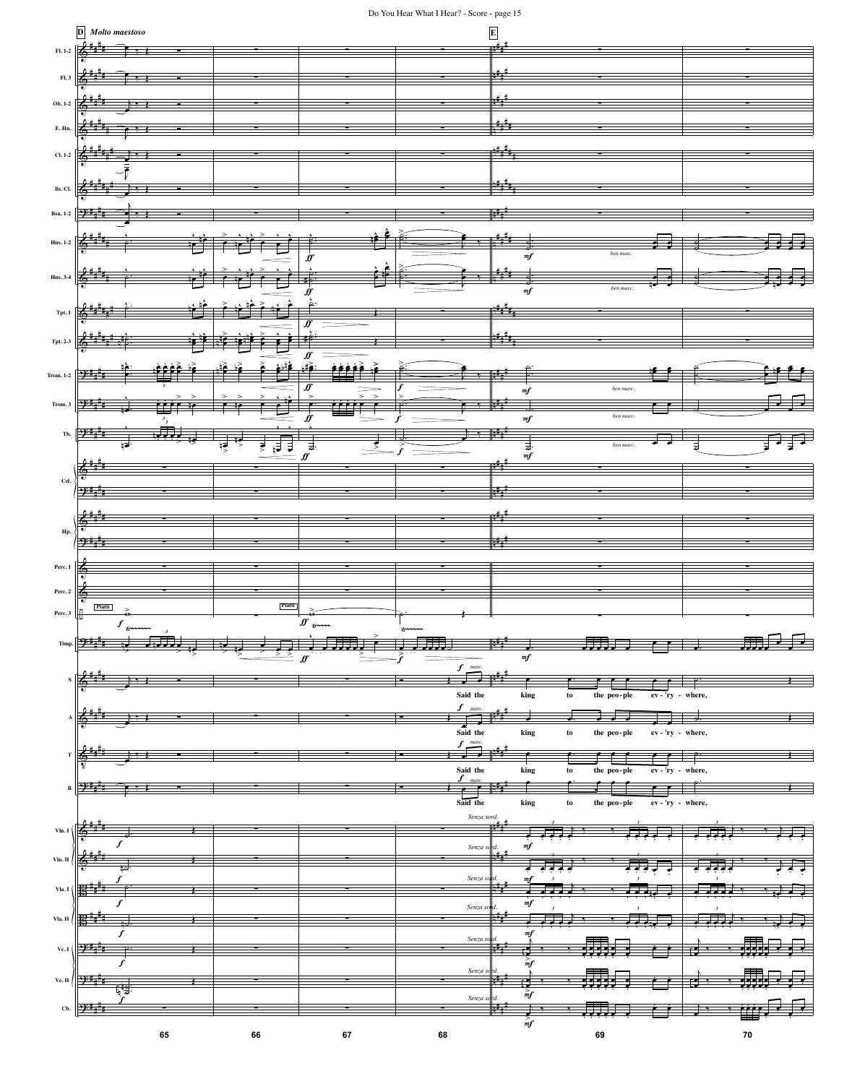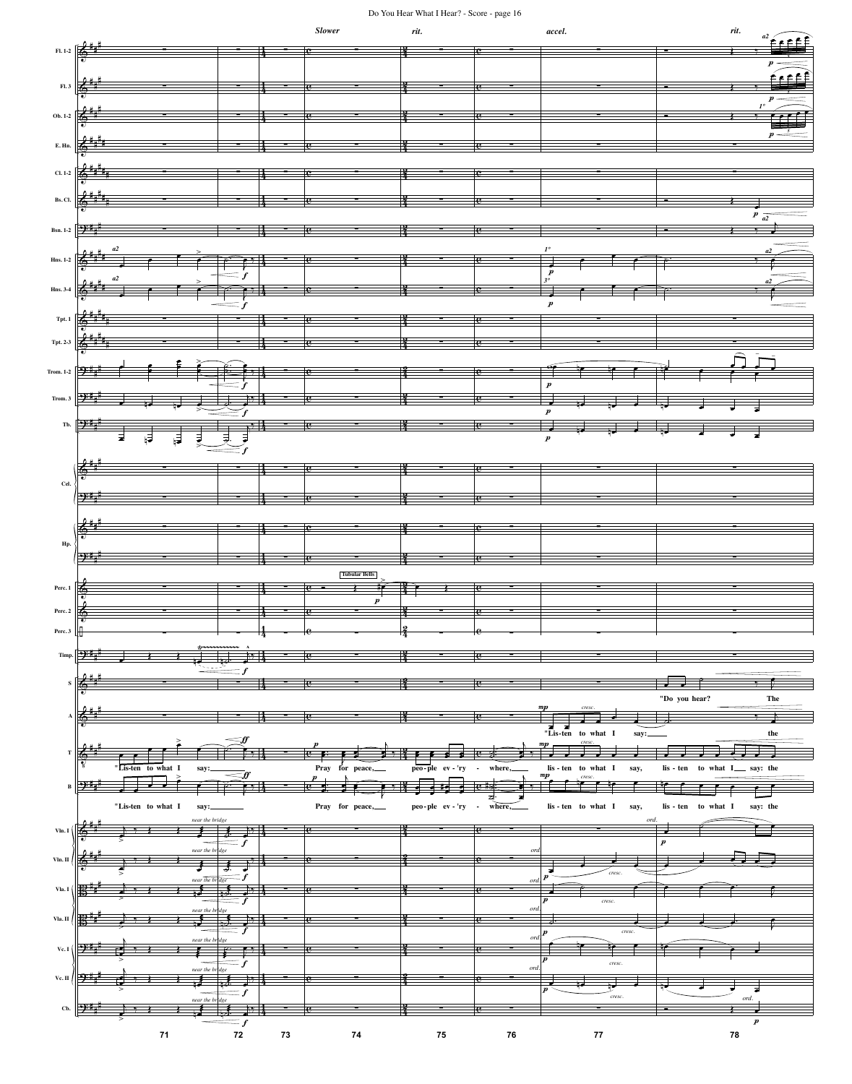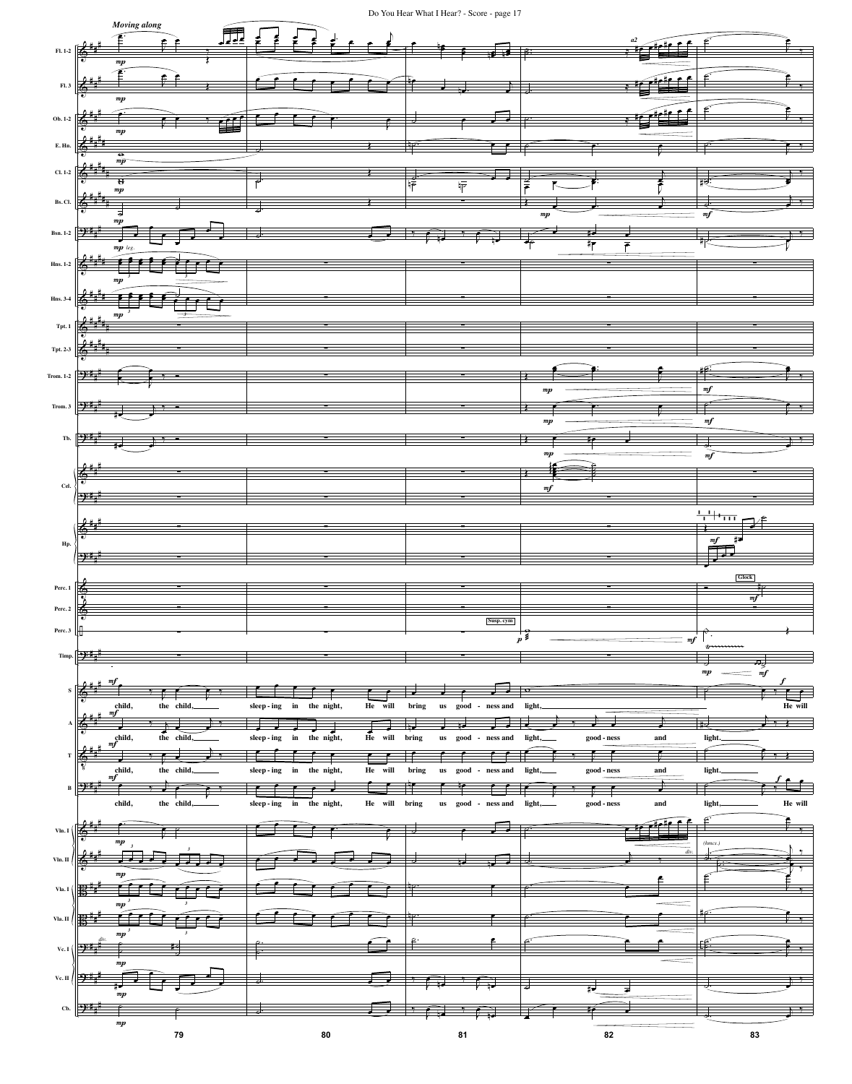| Moving along                     |            |                         |            |                          |                               |                     |                                   |        |                                   |               |
|----------------------------------|------------|-------------------------|------------|--------------------------|-------------------------------|---------------------|-----------------------------------|--------|-----------------------------------|---------------|
|                                  |            | 훋                       |            |                          |                               |                     |                                   |        |                                   |               |
| $\mathfrak{m}p$                  |            |                         |            |                          |                               |                     |                                   |        |                                   |               |
|                                  |            |                         |            |                          |                               |                     |                                   |        |                                   |               |
| $\it mp$                         |            |                         |            |                          |                               |                     |                                   |        |                                   |               |
|                                  |            |                         |            |                          |                               |                     |                                   |        |                                   |               |
| $\it mp$                         |            |                         |            |                          |                               |                     |                                   |        |                                   |               |
|                                  |            |                         |            |                          |                               |                     |                                   |        |                                   |               |
| $\mathfrak{m}p$                  |            |                         |            |                          |                               |                     |                                   |        |                                   |               |
|                                  |            |                         |            |                          | 巨                             | $\frac{2}{2}$       |                                   |        | ਜਭ                                |               |
| $_{\it mp}$                      |            |                         |            |                          |                               |                     |                                   |        |                                   |               |
|                                  |            |                         |            |                          |                               | $\it mp$            |                                   |        |                                   |               |
|                                  |            |                         |            |                          |                               |                     |                                   |        |                                   |               |
| $m p$ leg.                       |            |                         |            |                          |                               |                     |                                   |        |                                   |               |
|                                  |            |                         |            |                          |                               |                     |                                   |        |                                   |               |
| mp                               |            |                         |            |                          |                               |                     |                                   |        |                                   |               |
|                                  |            |                         |            |                          |                               |                     |                                   |        |                                   |               |
| mp                               |            |                         |            |                          |                               |                     |                                   |        |                                   |               |
|                                  |            |                         |            |                          |                               |                     |                                   |        |                                   |               |
|                                  |            |                         |            |                          |                               |                     |                                   |        |                                   |               |
|                                  |            |                         |            |                          |                               |                     |                                   |        |                                   |               |
|                                  |            |                         |            |                          |                               |                     |                                   |        |                                   |               |
|                                  |            |                         |            |                          |                               | mp                  |                                   |        | m f                               |               |
|                                  |            |                         |            |                          |                               |                     |                                   |        |                                   |               |
|                                  |            |                         |            |                          |                               | mp                  |                                   |        | m f                               |               |
|                                  |            |                         |            |                          |                               |                     |                                   |        |                                   |               |
|                                  |            |                         |            |                          |                               | mp                  |                                   |        | m                                 |               |
|                                  |            |                         |            |                          |                               |                     |                                   |        |                                   |               |
| / <del>9:41</del>                |            |                         |            |                          |                               | $m\!f$              |                                   |        |                                   |               |
|                                  |            |                         |            |                          |                               |                     |                                   |        |                                   |               |
|                                  |            |                         |            |                          |                               |                     |                                   |        |                                   |               |
|                                  |            |                         |            |                          |                               |                     |                                   |        | $\frac{1-1}{2}+\frac{1}{1+1}$ .   |               |
|                                  |            |                         |            |                          |                               |                     |                                   |        | $\it mf$<br>遐                     |               |
| $9 -$                            |            |                         |            |                          |                               |                     |                                   |        | Ħ                                 |               |
|                                  |            |                         |            |                          |                               |                     |                                   |        |                                   |               |
|                                  |            |                         |            |                          |                               |                     |                                   |        | Glock                             |               |
|                                  |            |                         |            |                          |                               |                     |                                   |        | mf                                |               |
|                                  |            |                         |            |                          | Susp.cym                      |                     |                                   |        |                                   |               |
| Perc. $3$                        |            |                         |            |                          |                               | $\mathbb{F}$        |                                   | $= mf$ |                                   |               |
| $9 -$                            |            |                         |            |                          |                               |                     |                                   |        | #                                 |               |
|                                  |            |                         |            |                          |                               |                     |                                   |        | $\stackrel{\rightarrow}{=}$<br>mp |               |
|                                  |            |                         |            |                          |                               | $\overline{\infty}$ |                                   |        |                                   |               |
|                                  | the child, | sleep-ing in the night, |            | He will<br>bring         | us good - ness and light,     |                     |                                   |        |                                   |               |
| child,                           |            |                         |            |                          |                               |                     |                                   |        |                                   |               |
|                                  | the child, | sleep - ing in          | the night, | He will<br>bring         | us good - ness and light,     |                     | $\mathbf{good}$ - $\mathbf{ness}$ | and    | light.                            |               |
| $m f$ hild,                      |            |                         |            | ≁                        |                               |                     |                                   |        |                                   |               |
|                                  | the child, | sleep-ing in the night, |            | ${\bf He}$ will<br>bring | us good - ness and light,     |                     | $\mathbf{good}$ - $\mathbf{ness}$ | and    | light.                            |               |
| $\frac{\text{child}}{\text{m}f}$ |            |                         |            |                          | ₩                             |                     |                                   |        |                                   |               |
| child,                           | the child, | sleep-ing in the night, |            | He will<br>bring         | us good - ness and light,____ |                     | good - ness                       | and    | light,                            |               |
|                                  |            |                         |            |                          |                               |                     |                                   |        |                                   |               |
|                                  |            |                         |            |                          |                               |                     |                                   | $\pm$  |                                   |               |
| $\it mp$                         |            |                         |            |                          |                               |                     |                                   |        | (hmcs.)                           |               |
| $\boldsymbol{m}\boldsymbol{p}$   |            |                         |            |                          |                               |                     |                                   |        |                                   |               |
|                                  |            |                         |            |                          |                               |                     |                                   |        |                                   |               |
| $\mathit{mp}$                    |            |                         |            |                          |                               |                     |                                   |        |                                   |               |
|                                  |            |                         |            |                          |                               |                     |                                   |        |                                   |               |
| -3<br>mp                         |            |                         |            | ρ.                       |                               |                     |                                   |        |                                   |               |
| $v_{c.1}$ $\sqrt{2.4x}$          |            |                         |            |                          |                               |                     |                                   |        |                                   |               |
| $\boldsymbol{m}\boldsymbol{p}$   |            |                         |            |                          |                               |                     |                                   |        |                                   |               |
| $\mathbf{P}$<br>₩T.              |            |                         |            |                          | ٦T                            | Θ                   |                                   |        |                                   |               |
| mp<br>сь. $\frac{1}{2}$          |            |                         |            |                          |                               |                     | ়াৰ                               |        |                                   | $\rightarrow$ |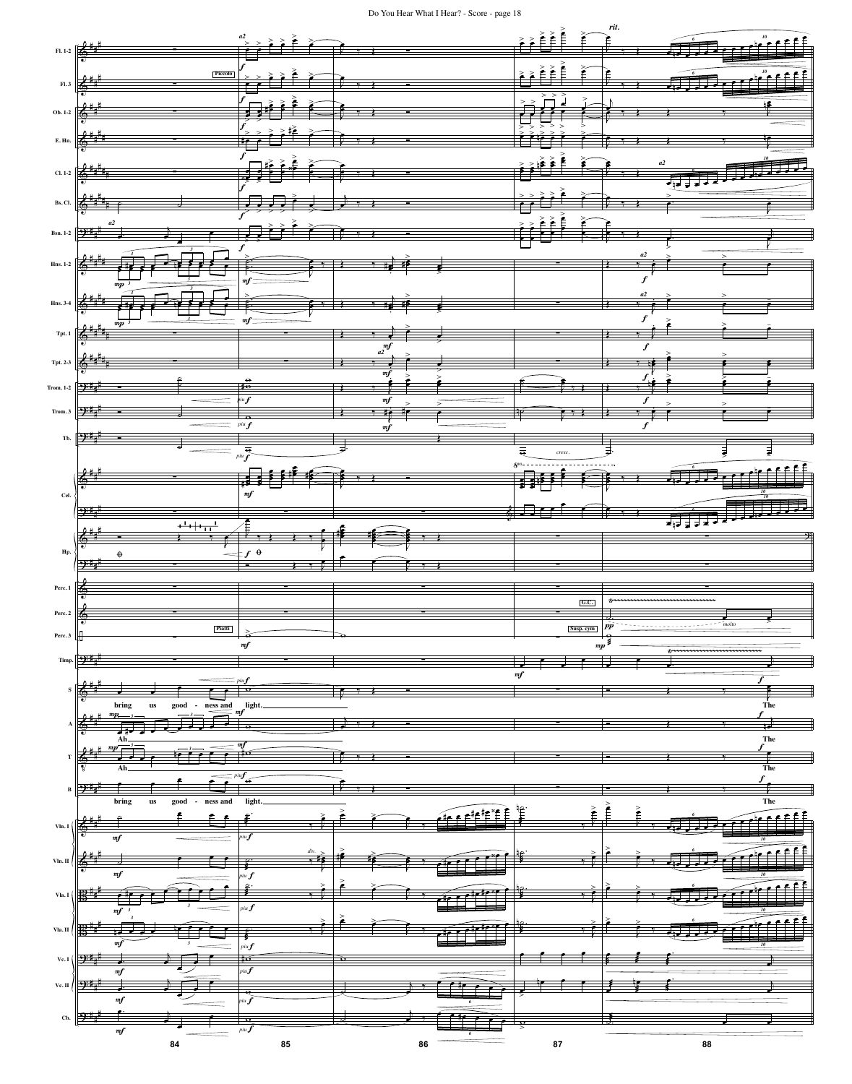|                                               |                                                                                                                                                                                                                                                                                                                                                                                                                       |               |           |                                                                                                | ≧≩Ê<br>$\widetilde{\mathbf{f}}$      |          |                 |
|-----------------------------------------------|-----------------------------------------------------------------------------------------------------------------------------------------------------------------------------------------------------------------------------------------------------------------------------------------------------------------------------------------------------------------------------------------------------------------------|---------------|-----------|------------------------------------------------------------------------------------------------|--------------------------------------|----------|-----------------|
|                                               |                                                                                                                                                                                                                                                                                                                                                                                                                       |               |           |                                                                                                |                                      |          |                 |
|                                               | $\fbox{\textcolor{red}{\textbf{Piccolo}}}$                                                                                                                                                                                                                                                                                                                                                                            |               |           | $\begin{array}{c}\n\begin{array}{c}\n\searrow \\ \searrow \\ \hline\n\end{array}\n\end{array}$ | ř                                    |          |                 |
|                                               |                                                                                                                                                                                                                                                                                                                                                                                                                       |               |           | $>$ $\geq$                                                                                     | $\geq$                               |          |                 |
|                                               |                                                                                                                                                                                                                                                                                                                                                                                                                       |               |           |                                                                                                |                                      |          |                 |
|                                               |                                                                                                                                                                                                                                                                                                                                                                                                                       | $\, > \,$     |           | $\overline{\phantom{0}}$<br>$\geq$                                                             | $\frac{1}{2}$<br>$\, > \,$<br>$\geq$ |          |                 |
|                                               |                                                                                                                                                                                                                                                                                                                                                                                                                       |               |           |                                                                                                | ≧≩                                   |          |                 |
|                                               |                                                                                                                                                                                                                                                                                                                                                                                                                       | $\frac{1}{2}$ |           | $\geq$<br>$\geq$                                                                               |                                      | a2       |                 |
|                                               |                                                                                                                                                                                                                                                                                                                                                                                                                       |               |           |                                                                                                |                                      | र्गेन्स  |                 |
|                                               |                                                                                                                                                                                                                                                                                                                                                                                                                       |               |           |                                                                                                |                                      |          |                 |
|                                               |                                                                                                                                                                                                                                                                                                                                                                                                                       |               |           |                                                                                                |                                      |          |                 |
|                                               |                                                                                                                                                                                                                                                                                                                                                                                                                       |               |           |                                                                                                |                                      | a2       |                 |
|                                               | mf                                                                                                                                                                                                                                                                                                                                                                                                                    |               |           |                                                                                                |                                      |          |                 |
| mp                                            |                                                                                                                                                                                                                                                                                                                                                                                                                       |               |           |                                                                                                |                                      | a2       |                 |
|                                               | mf                                                                                                                                                                                                                                                                                                                                                                                                                    |               |           |                                                                                                |                                      |          |                 |
| mp                                            |                                                                                                                                                                                                                                                                                                                                                                                                                       |               |           |                                                                                                |                                      |          |                 |
|                                               |                                                                                                                                                                                                                                                                                                                                                                                                                       |               | m f<br>a2 |                                                                                                |                                      |          |                 |
|                                               | $\bullet$                                                                                                                                                                                                                                                                                                                                                                                                             |               | $m$ f     |                                                                                                |                                      |          |                 |
|                                               | $\frac{1}{4}$<br>$\psi^{\mu}$                                                                                                                                                                                                                                                                                                                                                                                         |               | mf        |                                                                                                |                                      |          |                 |
| $\frac{1}{2}$                                 |                                                                                                                                                                                                                                                                                                                                                                                                                       |               |           |                                                                                                |                                      |          |                 |
| ⊫9∺#                                          | $\text{piu }$ <b>f</b>                                                                                                                                                                                                                                                                                                                                                                                                |               | m f       |                                                                                                |                                      |          |                 |
|                                               |                                                                                                                                                                                                                                                                                                                                                                                                                       |               |           | $\overline{\overline{e}}$                                                                      | cresc.                               |          |                 |
|                                               |                                                                                                                                                                                                                                                                                                                                                                                                                       |               |           | $8^{va-}$                                                                                      |                                      |          |                 |
|                                               | m f                                                                                                                                                                                                                                                                                                                                                                                                                   |               |           |                                                                                                |                                      |          | $\frac{10}{10}$ |
|                                               |                                                                                                                                                                                                                                                                                                                                                                                                                       |               |           |                                                                                                |                                      |          |                 |
| 19年                                           |                                                                                                                                                                                                                                                                                                                                                                                                                       |               |           |                                                                                                |                                      |          |                 |
|                                               | $\frac{1}{1-\frac{1}{1-\frac{1}{1-\frac{1}{1-\frac{1}{1-\frac{1}{1-\frac{1}{1-\frac{1}{1-\frac{1}{1-\frac{1}{1-\frac{1}{1-\frac{1}{1-\frac{1}{1-\frac{1}{1-\frac{1}{1-\frac{1}{1-\frac{1}{1-\frac{1}{1-\frac{1}{1-\frac{1}{1-\frac{1}{1-\frac{1}{1-\frac{1}{1-\frac{1}{1-\frac{1}{1-\frac{1}{1-\frac{1}{1-\frac{1}{1-\frac{1}{1-\frac{1}{1-\frac{1}{1-\frac{1}{1-\frac{1}{1-\frac{1}{1-\frac{1}{1-\frac{1}{1-\frac{1$ |               |           |                                                                                                |                                      | चर्चद्वम |                 |
|                                               |                                                                                                                                                                                                                                                                                                                                                                                                                       | $f \theta$    |           |                                                                                                |                                      |          |                 |
|                                               |                                                                                                                                                                                                                                                                                                                                                                                                                       |               |           |                                                                                                |                                      |          |                 |
|                                               |                                                                                                                                                                                                                                                                                                                                                                                                                       |               |           |                                                                                                |                                      |          |                 |
|                                               |                                                                                                                                                                                                                                                                                                                                                                                                                       |               |           |                                                                                                | G.C.                                 |          | molto           |
|                                               | Piatti                                                                                                                                                                                                                                                                                                                                                                                                                |               |           |                                                                                                | Susp. cym<br>$\bm{pp}$               |          |                 |
| Timp.                                         | m f                                                                                                                                                                                                                                                                                                                                                                                                                   |               |           |                                                                                                | $\mathfrak{m}p$                      |          |                 |
|                                               |                                                                                                                                                                                                                                                                                                                                                                                                                       |               |           | $\it mf$                                                                                       |                                      |          |                 |
|                                               |                                                                                                                                                                                                                                                                                                                                                                                                                       |               |           |                                                                                                |                                      |          |                 |
| bring                                         | $\mathbf{good}$ - $\mathbf{ness}$ and<br>$\mathbf{u}\mathbf{s}$<br>mf                                                                                                                                                                                                                                                                                                                                                 | light.        |           |                                                                                                |                                      |          | The             |
| Ah                                            |                                                                                                                                                                                                                                                                                                                                                                                                                       |               |           |                                                                                                |                                      |          | The             |
| T                                             |                                                                                                                                                                                                                                                                                                                                                                                                                       |               |           |                                                                                                |                                      |          |                 |
| ę,<br>Ah                                      | $\mathsf{I}$ piu $\bm{f}$<br>$\bullet$                                                                                                                                                                                                                                                                                                                                                                                |               |           |                                                                                                |                                      |          | The<br>£        |
| $_{\rm bring}$                                | good - ness and<br>us                                                                                                                                                                                                                                                                                                                                                                                                 | light.        |           |                                                                                                |                                      |          | The             |
|                                               |                                                                                                                                                                                                                                                                                                                                                                                                                       |               |           |                                                                                                | ř                                    |          |                 |
| m f                                           | iu f                                                                                                                                                                                                                                                                                                                                                                                                                  |               |           |                                                                                                |                                      |          |                 |
|                                               |                                                                                                                                                                                                                                                                                                                                                                                                                       | div.          |           |                                                                                                |                                      |          |                 |
| ∙<br>mf                                       | viu <b>f</b>                                                                                                                                                                                                                                                                                                                                                                                                          |               |           |                                                                                                |                                      |          |                 |
|                                               | $\mathop{\mathit{pi}}\nolimits\boldsymbol{f}$                                                                                                                                                                                                                                                                                                                                                                         |               |           |                                                                                                |                                      |          |                 |
| $m$ f                                         |                                                                                                                                                                                                                                                                                                                                                                                                                       |               |           |                                                                                                |                                      |          |                 |
| <b>鹅草</b>                                     | $\vert$ piu $\bm{f}$                                                                                                                                                                                                                                                                                                                                                                                                  |               |           |                                                                                                |                                      |          | 10              |
| $v_{c.1}$ $\sqrt{\frac{D+1}{2}}$              | ίο                                                                                                                                                                                                                                                                                                                                                                                                                    | 0             |           |                                                                                                |                                      |          |                 |
| mf<br>vc.п $\left\ \frac{1}{2^{n+1}}\right\ $ | $\overline{\text{pi}}$                                                                                                                                                                                                                                                                                                                                                                                                |               |           | $\overline{\phantom{a}}$                                                                       |                                      |          |                 |
| $\it mf$                                      | piu $\bm{f}$                                                                                                                                                                                                                                                                                                                                                                                                          |               |           | >                                                                                              |                                      |          |                 |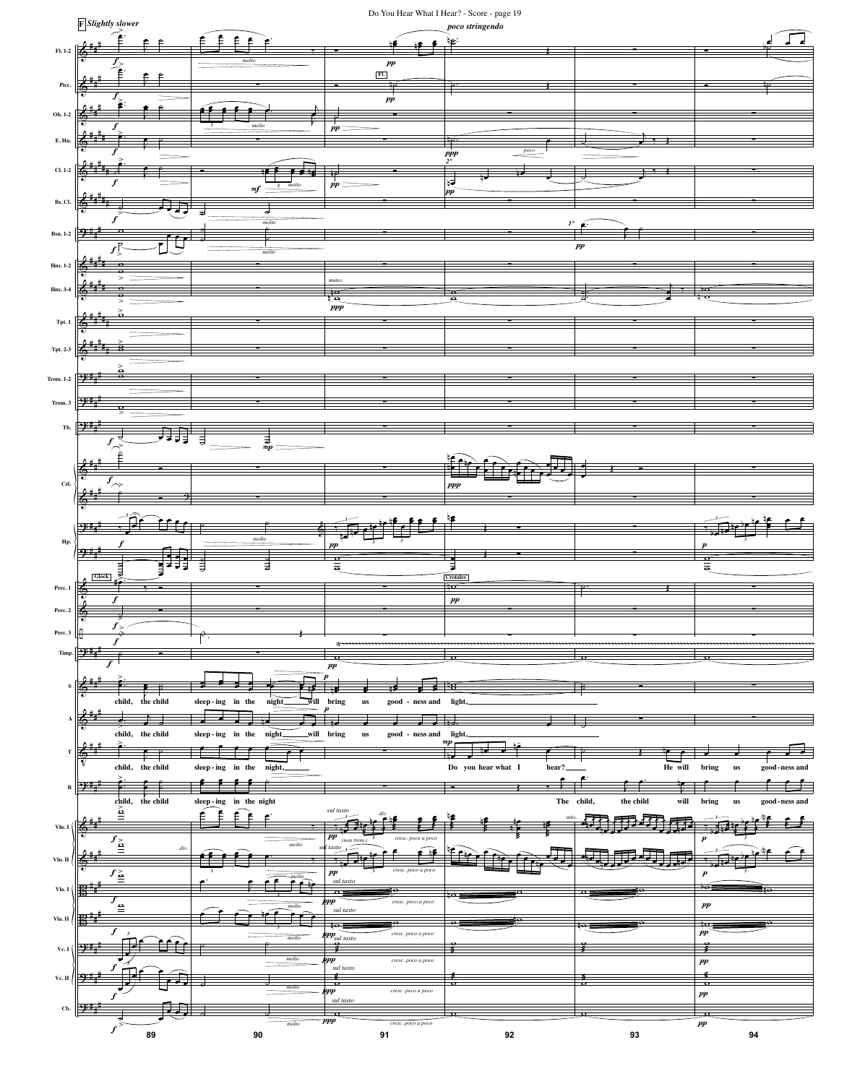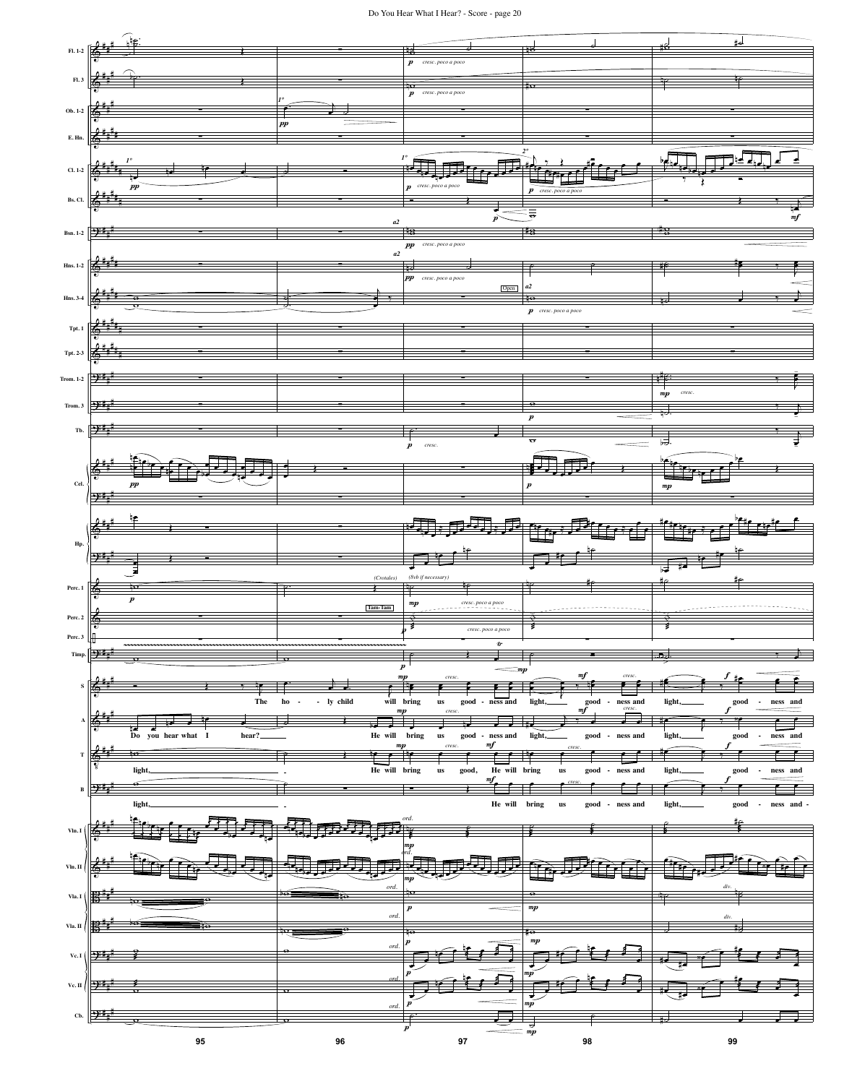